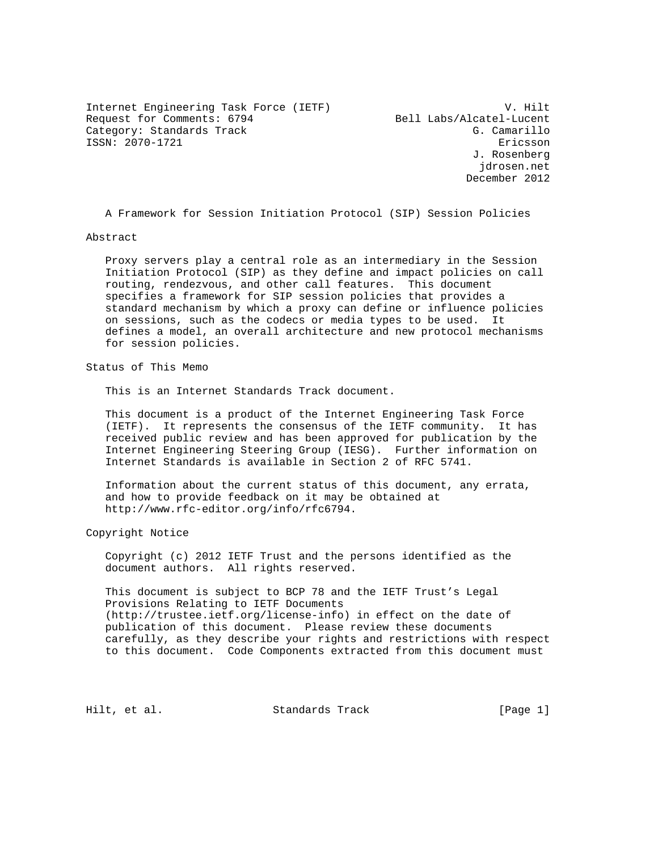Internet Engineering Task Force (IETF) V. Hilt Request for Comments: 6794 Bell Labs/Alcatel-Lucent Category: Standards Track G. Camarillo ISSN: 2070-1721 Ericsson

 J. Rosenberg jdrosen.net December 2012

A Framework for Session Initiation Protocol (SIP) Session Policies

Abstract

 Proxy servers play a central role as an intermediary in the Session Initiation Protocol (SIP) as they define and impact policies on call routing, rendezvous, and other call features. This document specifies a framework for SIP session policies that provides a standard mechanism by which a proxy can define or influence policies on sessions, such as the codecs or media types to be used. It defines a model, an overall architecture and new protocol mechanisms for session policies.

Status of This Memo

This is an Internet Standards Track document.

 This document is a product of the Internet Engineering Task Force (IETF). It represents the consensus of the IETF community. It has received public review and has been approved for publication by the Internet Engineering Steering Group (IESG). Further information on Internet Standards is available in Section 2 of RFC 5741.

 Information about the current status of this document, any errata, and how to provide feedback on it may be obtained at http://www.rfc-editor.org/info/rfc6794.

Copyright Notice

 Copyright (c) 2012 IETF Trust and the persons identified as the document authors. All rights reserved.

 This document is subject to BCP 78 and the IETF Trust's Legal Provisions Relating to IETF Documents (http://trustee.ietf.org/license-info) in effect on the date of publication of this document. Please review these documents carefully, as they describe your rights and restrictions with respect to this document. Code Components extracted from this document must

Hilt, et al. Standards Track [Page 1]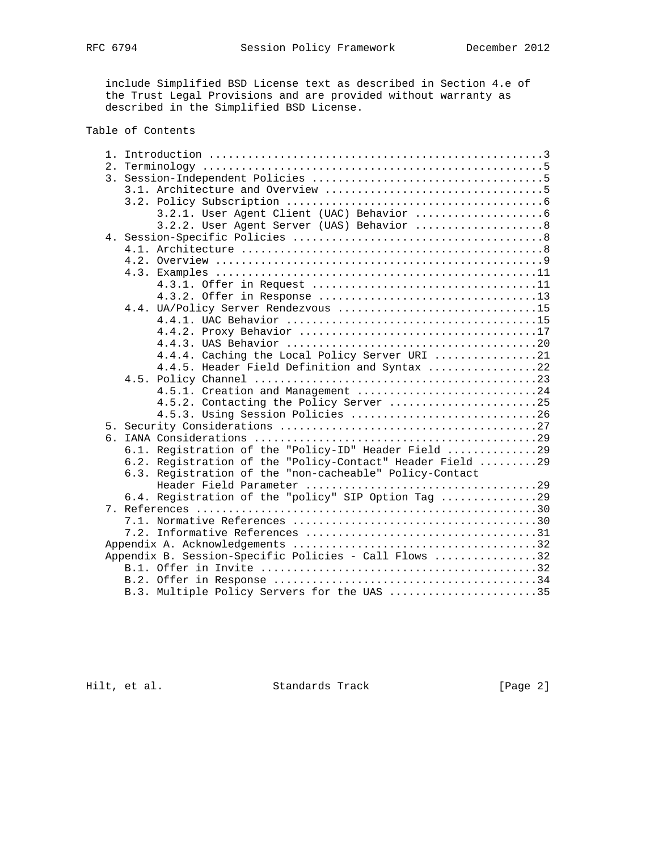include Simplified BSD License text as described in Section 4.e of the Trust Legal Provisions and are provided without warranty as described in the Simplified BSD License.

## Table of Contents

| 3.2.2. User Agent Server (UAS) Behavior 8                 |
|-----------------------------------------------------------|
|                                                           |
|                                                           |
|                                                           |
|                                                           |
|                                                           |
|                                                           |
| 4.4. UA/Policy Server Rendezvous 15                       |
|                                                           |
|                                                           |
|                                                           |
| 4.4.4. Caching the Local Policy Server URI 21             |
| 4.4.5. Header Field Definition and Syntax 22              |
|                                                           |
| 4.5.1. Creation and Management 24                         |
| 4.5.2. Contacting the Policy Server 25                    |
| 4.5.3. Using Session Policies 26                          |
|                                                           |
|                                                           |
| 6.1. Registration of the "Policy-ID" Header Field 29      |
| 6.2. Registration of the "Policy-Contact" Header Field 29 |
| 6.3. Registration of the "non-cacheable" Policy-Contact   |
|                                                           |
| 6.4. Registration of the "policy" SIP Option Tag 29       |
|                                                           |
|                                                           |
|                                                           |
|                                                           |
| Appendix B. Session-Specific Policies - Call Flows 32     |
|                                                           |
|                                                           |
| B.3. Multiple Policy Servers for the UAS 35               |

Hilt, et al. Standards Track [Page 2]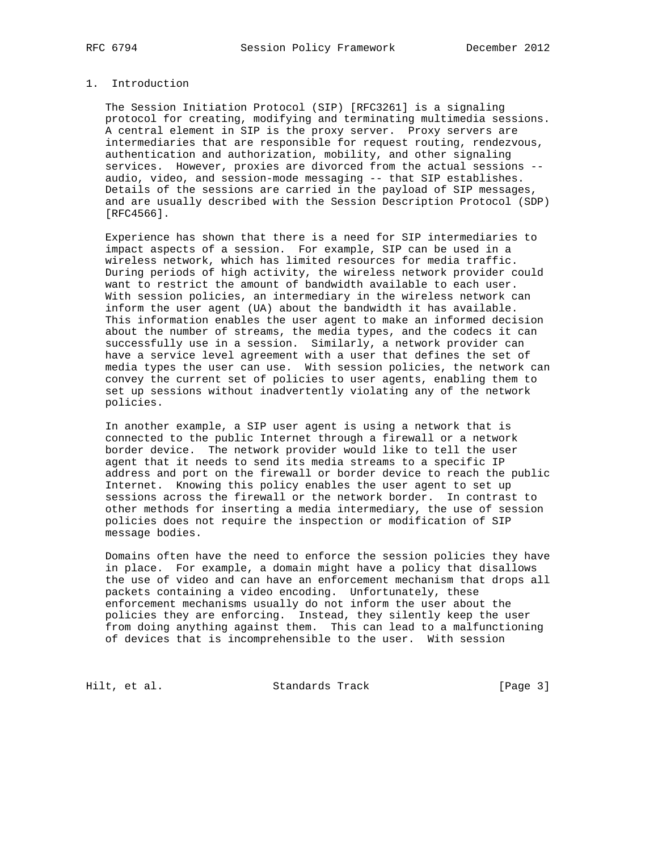## 1. Introduction

 The Session Initiation Protocol (SIP) [RFC3261] is a signaling protocol for creating, modifying and terminating multimedia sessions. A central element in SIP is the proxy server. Proxy servers are intermediaries that are responsible for request routing, rendezvous, authentication and authorization, mobility, and other signaling services. However, proxies are divorced from the actual sessions - audio, video, and session-mode messaging -- that SIP establishes. Details of the sessions are carried in the payload of SIP messages, and are usually described with the Session Description Protocol (SDP) [RFC4566].

 Experience has shown that there is a need for SIP intermediaries to impact aspects of a session. For example, SIP can be used in a wireless network, which has limited resources for media traffic. During periods of high activity, the wireless network provider could want to restrict the amount of bandwidth available to each user. With session policies, an intermediary in the wireless network can inform the user agent (UA) about the bandwidth it has available. This information enables the user agent to make an informed decision about the number of streams, the media types, and the codecs it can successfully use in a session. Similarly, a network provider can have a service level agreement with a user that defines the set of media types the user can use. With session policies, the network can convey the current set of policies to user agents, enabling them to set up sessions without inadvertently violating any of the network policies.

 In another example, a SIP user agent is using a network that is connected to the public Internet through a firewall or a network border device. The network provider would like to tell the user agent that it needs to send its media streams to a specific IP address and port on the firewall or border device to reach the public Internet. Knowing this policy enables the user agent to set up sessions across the firewall or the network border. In contrast to other methods for inserting a media intermediary, the use of session policies does not require the inspection or modification of SIP message bodies.

 Domains often have the need to enforce the session policies they have in place. For example, a domain might have a policy that disallows the use of video and can have an enforcement mechanism that drops all packets containing a video encoding. Unfortunately, these enforcement mechanisms usually do not inform the user about the policies they are enforcing. Instead, they silently keep the user from doing anything against them. This can lead to a malfunctioning of devices that is incomprehensible to the user. With session

Hilt, et al. Standards Track [Page 3]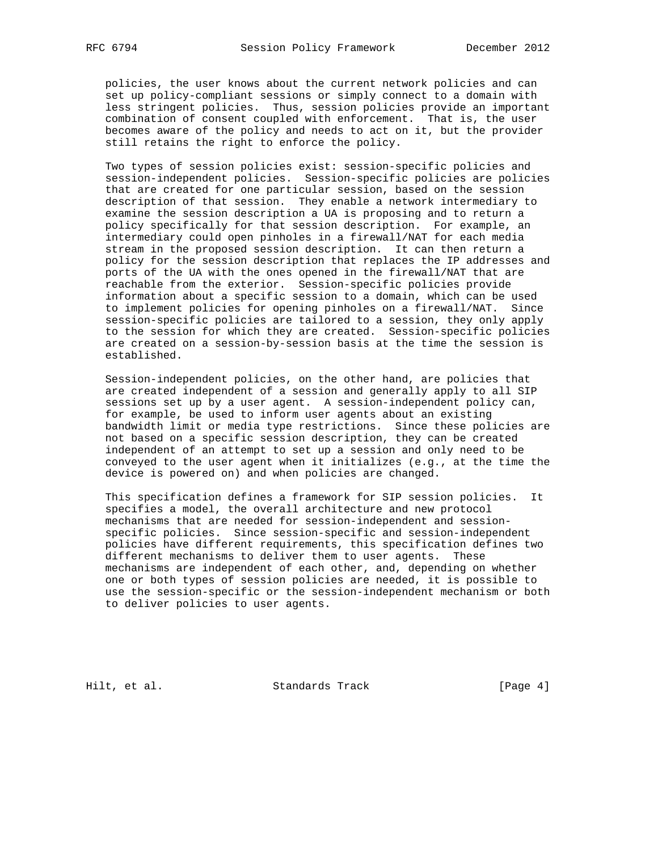policies, the user knows about the current network policies and can set up policy-compliant sessions or simply connect to a domain with less stringent policies. Thus, session policies provide an important combination of consent coupled with enforcement. That is, the user becomes aware of the policy and needs to act on it, but the provider still retains the right to enforce the policy.

 Two types of session policies exist: session-specific policies and session-independent policies. Session-specific policies are policies that are created for one particular session, based on the session description of that session. They enable a network intermediary to examine the session description a UA is proposing and to return a policy specifically for that session description. For example, an intermediary could open pinholes in a firewall/NAT for each media stream in the proposed session description. It can then return a policy for the session description that replaces the IP addresses and ports of the UA with the ones opened in the firewall/NAT that are reachable from the exterior. Session-specific policies provide information about a specific session to a domain, which can be used to implement policies for opening pinholes on a firewall/NAT. Since session-specific policies are tailored to a session, they only apply to the session for which they are created. Session-specific policies are created on a session-by-session basis at the time the session is established.

 Session-independent policies, on the other hand, are policies that are created independent of a session and generally apply to all SIP sessions set up by a user agent. A session-independent policy can, for example, be used to inform user agents about an existing bandwidth limit or media type restrictions. Since these policies are not based on a specific session description, they can be created independent of an attempt to set up a session and only need to be conveyed to the user agent when it initializes (e.g., at the time the device is powered on) and when policies are changed.

 This specification defines a framework for SIP session policies. It specifies a model, the overall architecture and new protocol mechanisms that are needed for session-independent and session specific policies. Since session-specific and session-independent policies have different requirements, this specification defines two different mechanisms to deliver them to user agents. These mechanisms are independent of each other, and, depending on whether one or both types of session policies are needed, it is possible to use the session-specific or the session-independent mechanism or both to deliver policies to user agents.

Hilt, et al. Standards Track [Page 4]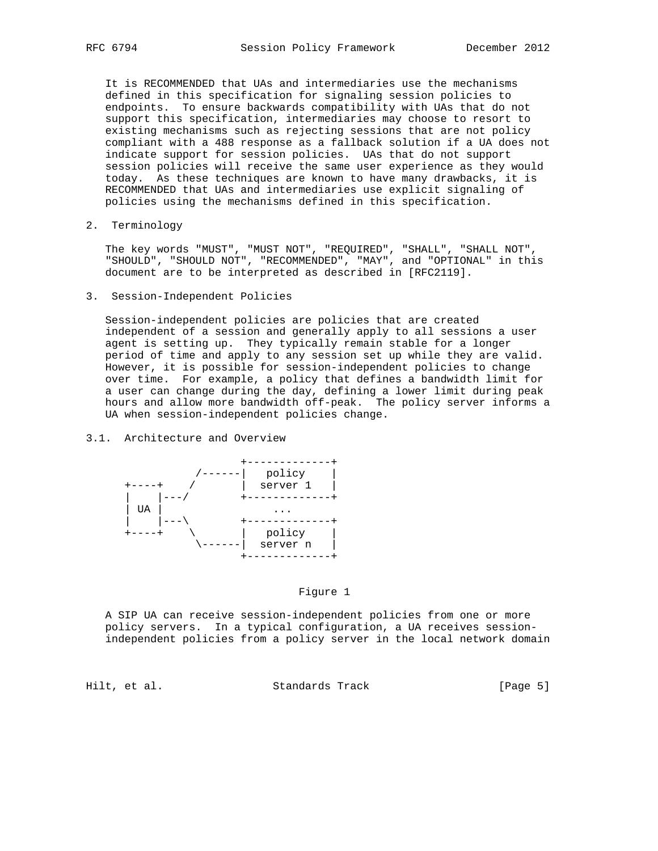It is RECOMMENDED that UAs and intermediaries use the mechanisms defined in this specification for signaling session policies to endpoints. To ensure backwards compatibility with UAs that do not support this specification, intermediaries may choose to resort to existing mechanisms such as rejecting sessions that are not policy compliant with a 488 response as a fallback solution if a UA does not indicate support for session policies. UAs that do not support session policies will receive the same user experience as they would today. As these techniques are known to have many drawbacks, it is RECOMMENDED that UAs and intermediaries use explicit signaling of policies using the mechanisms defined in this specification.

2. Terminology

 The key words "MUST", "MUST NOT", "REQUIRED", "SHALL", "SHALL NOT", "SHOULD", "SHOULD NOT", "RECOMMENDED", "MAY", and "OPTIONAL" in this document are to be interpreted as described in [RFC2119].

3. Session-Independent Policies

 Session-independent policies are policies that are created independent of a session and generally apply to all sessions a user agent is setting up. They typically remain stable for a longer period of time and apply to any session set up while they are valid. However, it is possible for session-independent policies to change over time. For example, a policy that defines a bandwidth limit for a user can change during the day, defining a lower limit during peak hours and allow more bandwidth off-peak. The policy server informs a UA when session-independent policies change.

#### 3.1. Architecture and Overview



#### Figure 1

 A SIP UA can receive session-independent policies from one or more policy servers. In a typical configuration, a UA receives session independent policies from a policy server in the local network domain

Hilt, et al. Standards Track [Page 5]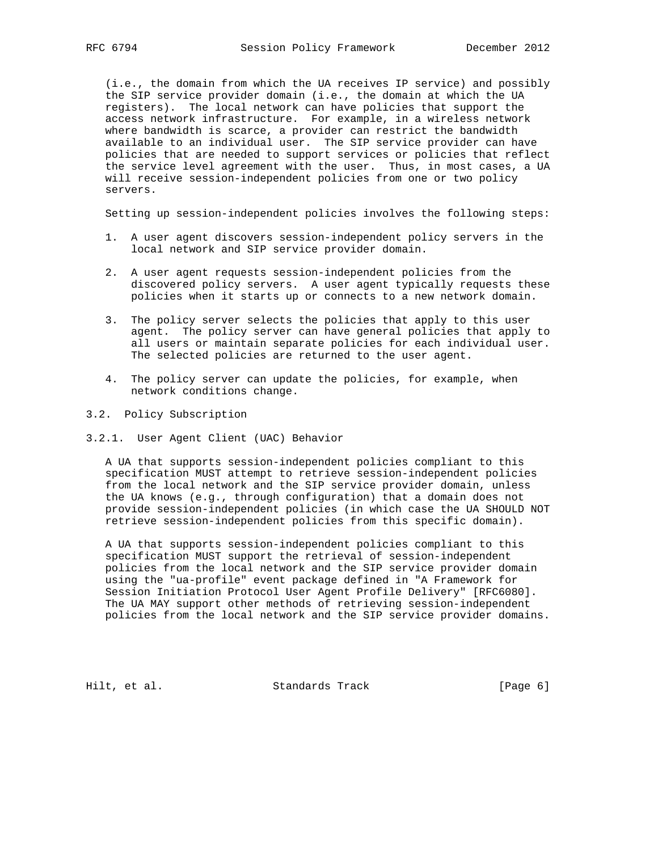(i.e., the domain from which the UA receives IP service) and possibly the SIP service provider domain (i.e., the domain at which the UA registers). The local network can have policies that support the access network infrastructure. For example, in a wireless network where bandwidth is scarce, a provider can restrict the bandwidth available to an individual user. The SIP service provider can have policies that are needed to support services or policies that reflect the service level agreement with the user. Thus, in most cases, a UA will receive session-independent policies from one or two policy servers.

Setting up session-independent policies involves the following steps:

- 1. A user agent discovers session-independent policy servers in the local network and SIP service provider domain.
- 2. A user agent requests session-independent policies from the discovered policy servers. A user agent typically requests these policies when it starts up or connects to a new network domain.
- 3. The policy server selects the policies that apply to this user agent. The policy server can have general policies that apply to all users or maintain separate policies for each individual user. The selected policies are returned to the user agent.
- 4. The policy server can update the policies, for example, when network conditions change.
- 3.2. Policy Subscription
- 3.2.1. User Agent Client (UAC) Behavior

 A UA that supports session-independent policies compliant to this specification MUST attempt to retrieve session-independent policies from the local network and the SIP service provider domain, unless the UA knows (e.g., through configuration) that a domain does not provide session-independent policies (in which case the UA SHOULD NOT retrieve session-independent policies from this specific domain).

 A UA that supports session-independent policies compliant to this specification MUST support the retrieval of session-independent policies from the local network and the SIP service provider domain using the "ua-profile" event package defined in "A Framework for Session Initiation Protocol User Agent Profile Delivery" [RFC6080]. The UA MAY support other methods of retrieving session-independent policies from the local network and the SIP service provider domains.

Hilt, et al. Standards Track [Page 6]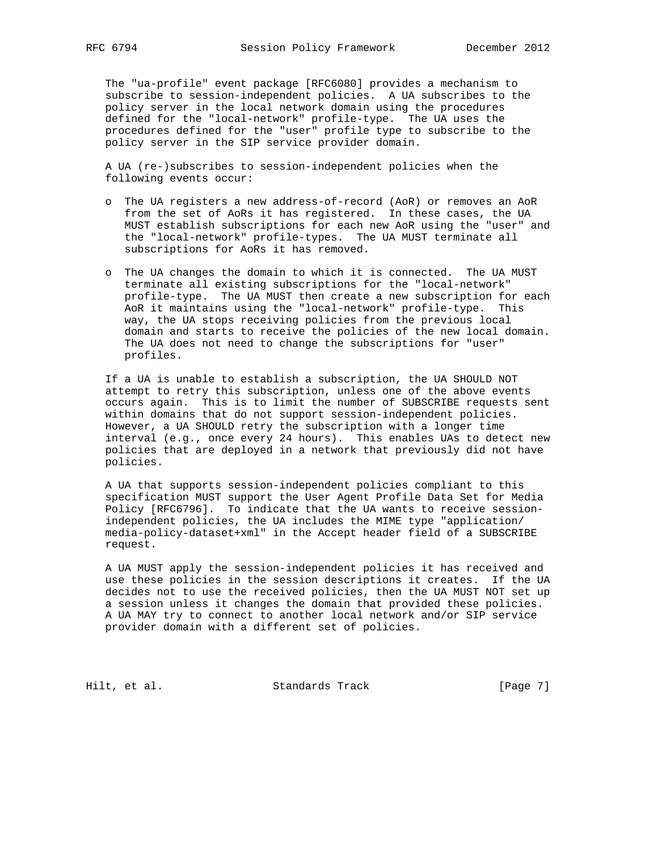The "ua-profile" event package [RFC6080] provides a mechanism to subscribe to session-independent policies. A UA subscribes to the policy server in the local network domain using the procedures defined for the "local-network" profile-type. The UA uses the procedures defined for the "user" profile type to subscribe to the policy server in the SIP service provider domain.

 A UA (re-)subscribes to session-independent policies when the following events occur:

- o The UA registers a new address-of-record (AoR) or removes an AoR from the set of AoRs it has registered. In these cases, the UA MUST establish subscriptions for each new AoR using the "user" and the "local-network" profile-types. The UA MUST terminate all subscriptions for AoRs it has removed.
- o The UA changes the domain to which it is connected. The UA MUST terminate all existing subscriptions for the "local-network" profile-type. The UA MUST then create a new subscription for each AoR it maintains using the "local-network" profile-type. This way, the UA stops receiving policies from the previous local domain and starts to receive the policies of the new local domain. The UA does not need to change the subscriptions for "user" profiles.

 If a UA is unable to establish a subscription, the UA SHOULD NOT attempt to retry this subscription, unless one of the above events occurs again. This is to limit the number of SUBSCRIBE requests sent within domains that do not support session-independent policies. However, a UA SHOULD retry the subscription with a longer time interval (e.g., once every 24 hours). This enables UAs to detect new policies that are deployed in a network that previously did not have policies.

 A UA that supports session-independent policies compliant to this specification MUST support the User Agent Profile Data Set for Media Policy [RFC6796]. To indicate that the UA wants to receive session independent policies, the UA includes the MIME type "application/ media-policy-dataset+xml" in the Accept header field of a SUBSCRIBE request.

 A UA MUST apply the session-independent policies it has received and use these policies in the session descriptions it creates. If the UA decides not to use the received policies, then the UA MUST NOT set up a session unless it changes the domain that provided these policies. A UA MAY try to connect to another local network and/or SIP service provider domain with a different set of policies.

Hilt, et al. Standards Track [Page 7]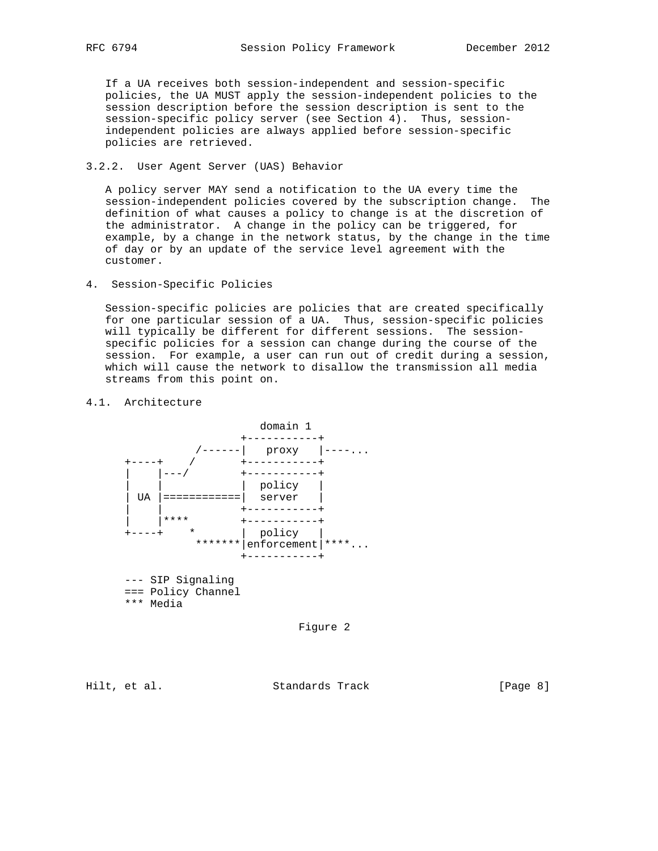If a UA receives both session-independent and session-specific policies, the UA MUST apply the session-independent policies to the session description before the session description is sent to the session-specific policy server (see Section 4). Thus, session independent policies are always applied before session-specific policies are retrieved.

3.2.2. User Agent Server (UAS) Behavior

 A policy server MAY send a notification to the UA every time the session-independent policies covered by the subscription change. The definition of what causes a policy to change is at the discretion of the administrator. A change in the policy can be triggered, for example, by a change in the network status, by the change in the time of day or by an update of the service level agreement with the customer.

4. Session-Specific Policies

 Session-specific policies are policies that are created specifically for one particular session of a UA. Thus, session-specific policies will typically be different for different sessions. The session specific policies for a session can change during the course of the session. For example, a user can run out of credit during a session, which will cause the network to disallow the transmission all media streams from this point on.

## 4.1. Architecture



Figure 2

Hilt, et al. Standards Track [Page 8]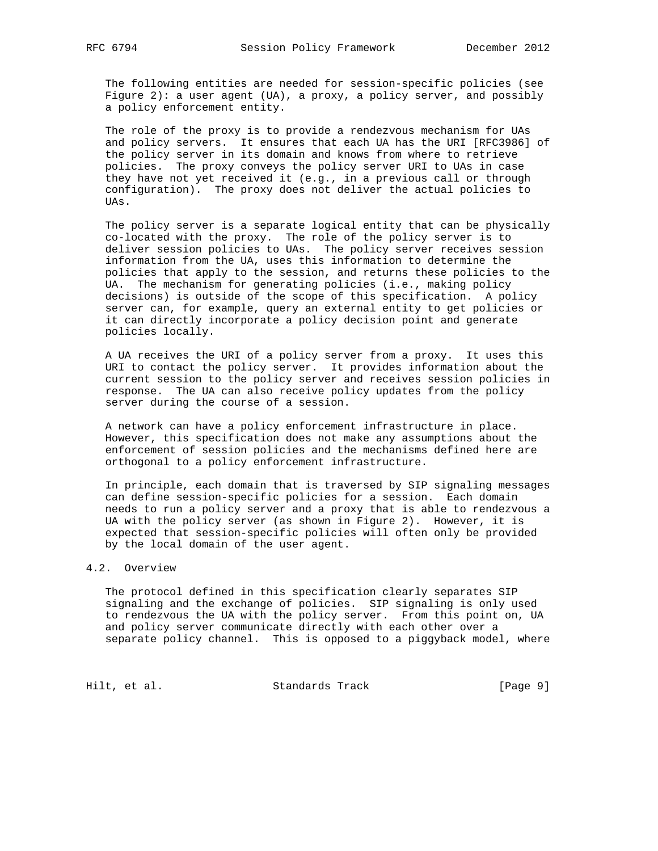The following entities are needed for session-specific policies (see Figure 2): a user agent  $(UA)$ , a proxy, a policy server, and possibly a policy enforcement entity.

 The role of the proxy is to provide a rendezvous mechanism for UAs and policy servers. It ensures that each UA has the URI [RFC3986] of the policy server in its domain and knows from where to retrieve policies. The proxy conveys the policy server URI to UAs in case they have not yet received it (e.g., in a previous call or through configuration). The proxy does not deliver the actual policies to UAs.

 The policy server is a separate logical entity that can be physically co-located with the proxy. The role of the policy server is to deliver session policies to UAs. The policy server receives session information from the UA, uses this information to determine the policies that apply to the session, and returns these policies to the UA. The mechanism for generating policies (i.e., making policy decisions) is outside of the scope of this specification. A policy server can, for example, query an external entity to get policies or it can directly incorporate a policy decision point and generate policies locally.

 A UA receives the URI of a policy server from a proxy. It uses this URI to contact the policy server. It provides information about the current session to the policy server and receives session policies in response. The UA can also receive policy updates from the policy server during the course of a session.

 A network can have a policy enforcement infrastructure in place. However, this specification does not make any assumptions about the enforcement of session policies and the mechanisms defined here are orthogonal to a policy enforcement infrastructure.

 In principle, each domain that is traversed by SIP signaling messages can define session-specific policies for a session. Each domain needs to run a policy server and a proxy that is able to rendezvous a UA with the policy server (as shown in Figure 2). However, it is expected that session-specific policies will often only be provided by the local domain of the user agent.

## 4.2. Overview

 The protocol defined in this specification clearly separates SIP signaling and the exchange of policies. SIP signaling is only used to rendezvous the UA with the policy server. From this point on, UA and policy server communicate directly with each other over a separate policy channel. This is opposed to a piggyback model, where

Hilt, et al. Standards Track [Page 9]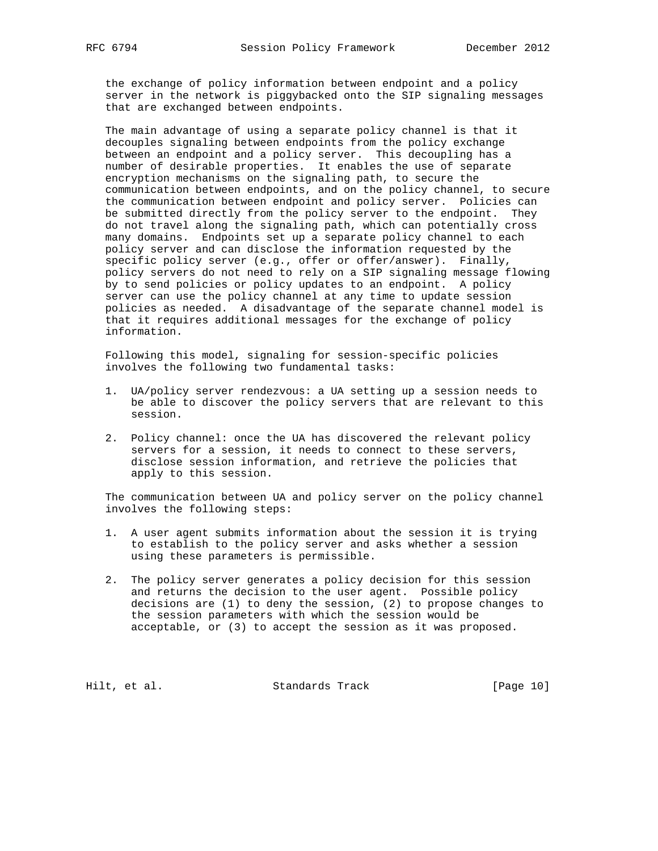the exchange of policy information between endpoint and a policy server in the network is piggybacked onto the SIP signaling messages that are exchanged between endpoints.

 The main advantage of using a separate policy channel is that it decouples signaling between endpoints from the policy exchange between an endpoint and a policy server. This decoupling has a number of desirable properties. It enables the use of separate encryption mechanisms on the signaling path, to secure the communication between endpoints, and on the policy channel, to secure the communication between endpoint and policy server. Policies can be submitted directly from the policy server to the endpoint. They do not travel along the signaling path, which can potentially cross many domains. Endpoints set up a separate policy channel to each policy server and can disclose the information requested by the specific policy server (e.g., offer or offer/answer). Finally, policy servers do not need to rely on a SIP signaling message flowing by to send policies or policy updates to an endpoint. A policy server can use the policy channel at any time to update session policies as needed. A disadvantage of the separate channel model is that it requires additional messages for the exchange of policy information.

 Following this model, signaling for session-specific policies involves the following two fundamental tasks:

- 1. UA/policy server rendezvous: a UA setting up a session needs to be able to discover the policy servers that are relevant to this session.
- 2. Policy channel: once the UA has discovered the relevant policy servers for a session, it needs to connect to these servers, disclose session information, and retrieve the policies that apply to this session.

 The communication between UA and policy server on the policy channel involves the following steps:

- 1. A user agent submits information about the session it is trying to establish to the policy server and asks whether a session using these parameters is permissible.
- 2. The policy server generates a policy decision for this session and returns the decision to the user agent. Possible policy decisions are (1) to deny the session, (2) to propose changes to the session parameters with which the session would be acceptable, or (3) to accept the session as it was proposed.

Hilt, et al. Standards Track [Page 10]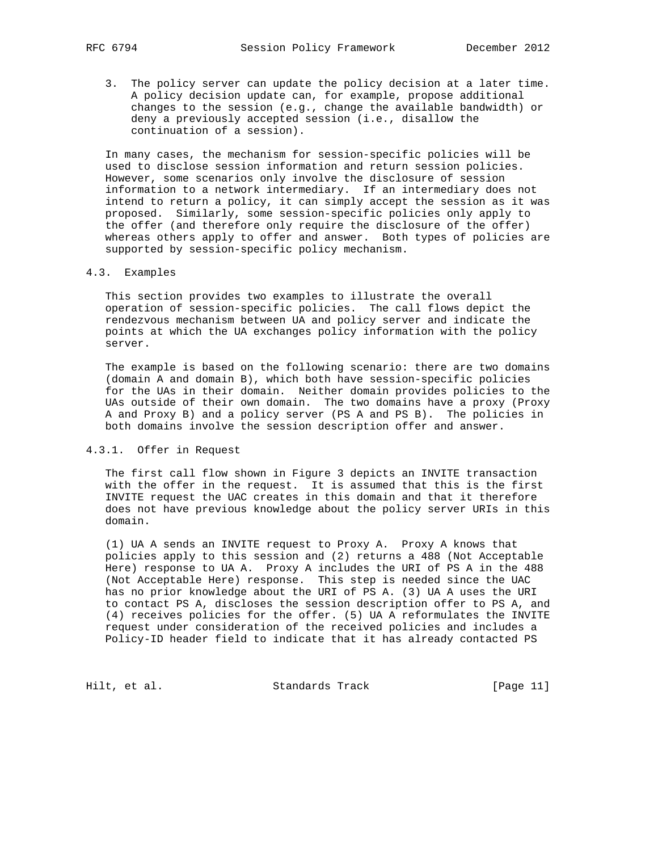3. The policy server can update the policy decision at a later time. A policy decision update can, for example, propose additional changes to the session (e.g., change the available bandwidth) or deny a previously accepted session (i.e., disallow the continuation of a session).

 In many cases, the mechanism for session-specific policies will be used to disclose session information and return session policies. However, some scenarios only involve the disclosure of session information to a network intermediary. If an intermediary does not intend to return a policy, it can simply accept the session as it was proposed. Similarly, some session-specific policies only apply to the offer (and therefore only require the disclosure of the offer) whereas others apply to offer and answer. Both types of policies are supported by session-specific policy mechanism.

## 4.3. Examples

 This section provides two examples to illustrate the overall operation of session-specific policies. The call flows depict the rendezvous mechanism between UA and policy server and indicate the points at which the UA exchanges policy information with the policy server.

 The example is based on the following scenario: there are two domains (domain A and domain B), which both have session-specific policies for the UAs in their domain. Neither domain provides policies to the UAs outside of their own domain. The two domains have a proxy (Proxy A and Proxy B) and a policy server (PS A and PS B). The policies in both domains involve the session description offer and answer.

#### 4.3.1. Offer in Request

 The first call flow shown in Figure 3 depicts an INVITE transaction with the offer in the request. It is assumed that this is the first INVITE request the UAC creates in this domain and that it therefore does not have previous knowledge about the policy server URIs in this domain.

 (1) UA A sends an INVITE request to Proxy A. Proxy A knows that policies apply to this session and (2) returns a 488 (Not Acceptable Here) response to UA A. Proxy A includes the URI of PS A in the 488 (Not Acceptable Here) response. This step is needed since the UAC has no prior knowledge about the URI of PS A. (3) UA A uses the URI to contact PS A, discloses the session description offer to PS A, and (4) receives policies for the offer. (5) UA A reformulates the INVITE request under consideration of the received policies and includes a Policy-ID header field to indicate that it has already contacted PS

Hilt, et al. Standards Track [Page 11]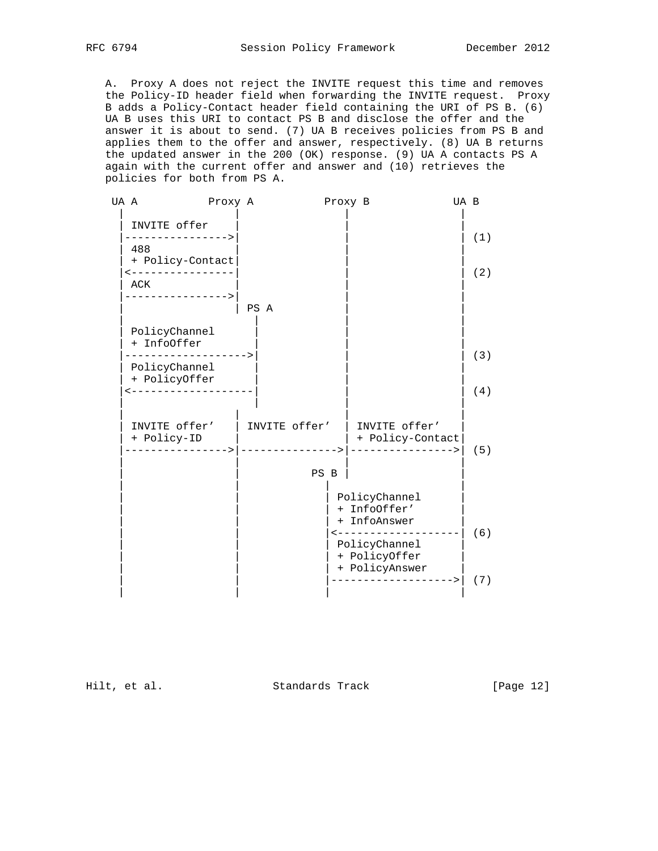A. Proxy A does not reject the INVITE request this time and removes the Policy-ID header field when forwarding the INVITE request. Proxy B adds a Policy-Contact header field containing the URI of PS B. (6) UA B uses this URI to contact PS B and disclose the offer and the answer it is about to send. (7) UA B receives policies from PS B and applies them to the offer and answer, respectively. (8) UA B returns the updated answer in the 200 (OK) response. (9) UA A contacts PS A again with the current offer and answer and (10) retrieves the policies for both from PS A.

| UA A |                                         | Proxy A       |      |               | Proxy B                                                                               | UA B |     |
|------|-----------------------------------------|---------------|------|---------------|---------------------------------------------------------------------------------------|------|-----|
|      | INVITE offer<br>--------------->        |               |      |               |                                                                                       |      | (1) |
|      | 488<br>+ Policy-Contact                 |               |      |               |                                                                                       |      |     |
|      | ------------<br>ACK<br>---------------> |               |      |               |                                                                                       |      | (2) |
|      |                                         |               | PS A |               |                                                                                       |      |     |
|      | PolicyChannel<br>+ InfoOffer            |               |      |               |                                                                                       |      |     |
|      | PolicyChannel                           |               |      |               |                                                                                       |      | (3) |
|      | + PolicyOffer<br>__________________     |               |      |               |                                                                                       |      | (4) |
|      | INVITE offer'<br>+ Policy-ID            | $\rightarrow$ |      | INVITE offer' | INVITE offer'<br>+ Policy-Contact<br>---------------->                                |      | (5) |
|      |                                         |               |      | PS B          |                                                                                       |      |     |
|      |                                         |               |      |               | PolicyChannel<br>+ InfoOffer'<br>+ InfoAnswer<br>-------------------<br>PolicyChannel |      | (6) |
|      |                                         |               |      |               | + PolicyOffer<br>+ PolicyAnswer                                                       |      | (7) |

Hilt, et al. Standards Track [Page 12]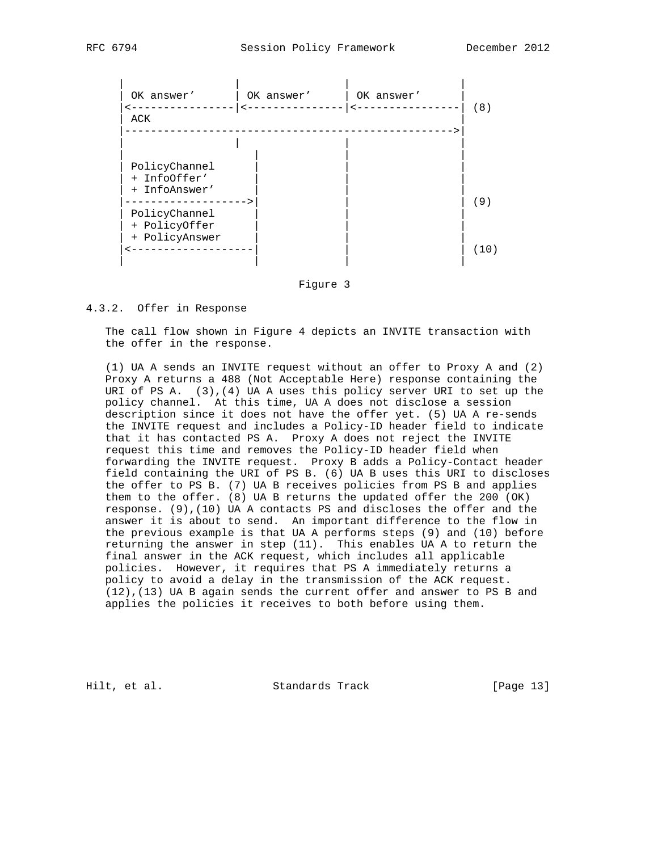

Figure 3

## 4.3.2. Offer in Response

 The call flow shown in Figure 4 depicts an INVITE transaction with the offer in the response.

 (1) UA A sends an INVITE request without an offer to Proxy A and (2) Proxy A returns a 488 (Not Acceptable Here) response containing the URI of PS A.  $(3)$ ,  $(4)$  UA A uses this policy server URI to set up the policy channel. At this time, UA A does not disclose a session description since it does not have the offer yet. (5) UA A re-sends the INVITE request and includes a Policy-ID header field to indicate that it has contacted PS A. Proxy A does not reject the INVITE request this time and removes the Policy-ID header field when forwarding the INVITE request. Proxy B adds a Policy-Contact header field containing the URI of PS B. (6) UA B uses this URI to discloses the offer to PS B. (7) UA B receives policies from PS B and applies them to the offer. (8) UA B returns the updated offer the 200 (OK) response. (9),(10) UA A contacts PS and discloses the offer and the answer it is about to send. An important difference to the flow in the previous example is that UA A performs steps (9) and (10) before returning the answer in step (11). This enables UA A to return the final answer in the ACK request, which includes all applicable policies. However, it requires that PS A immediately returns a policy to avoid a delay in the transmission of the ACK request. (12),(13) UA B again sends the current offer and answer to PS B and applies the policies it receives to both before using them.

Hilt, et al. Standards Track [Page 13]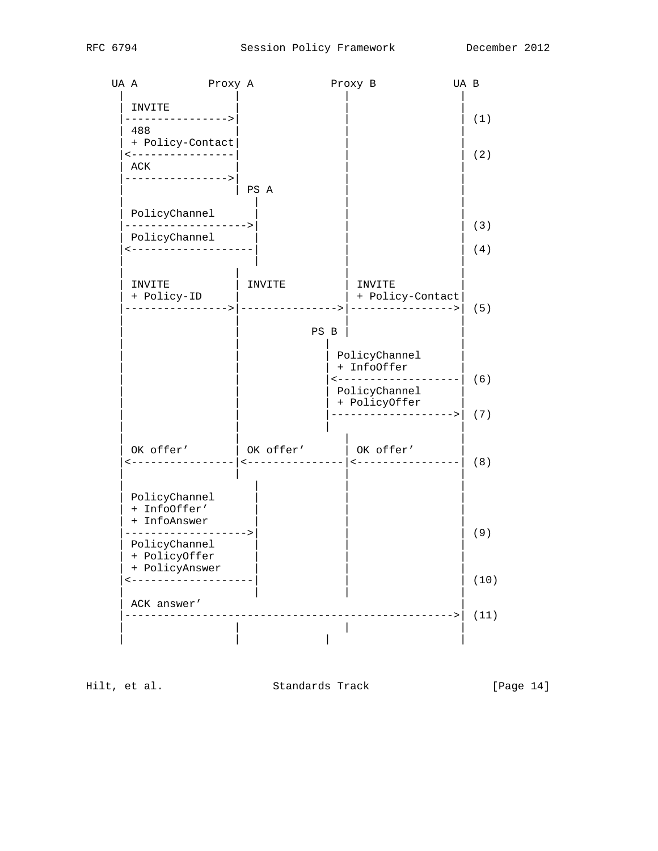

Hilt, et al. Standards Track [Page 14]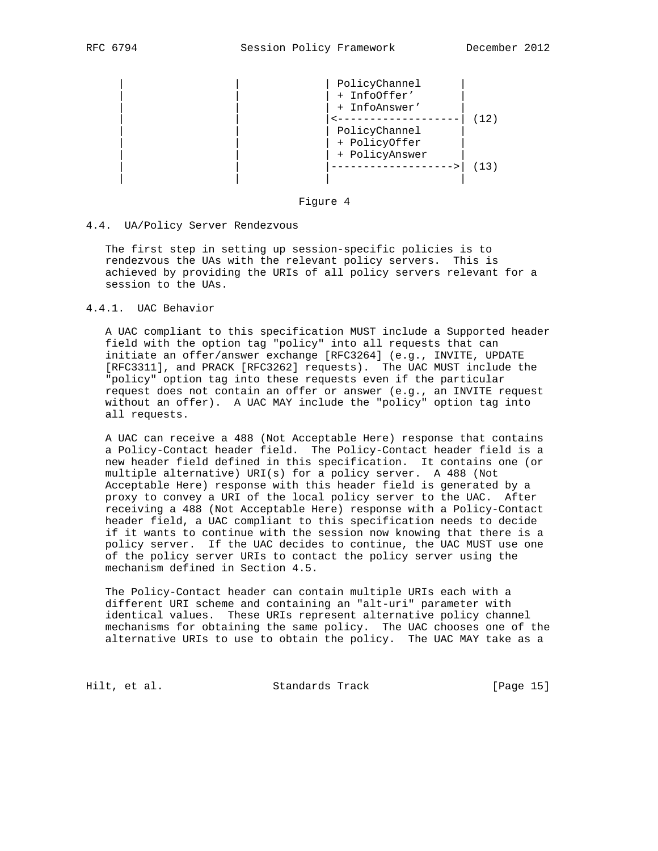|  | PolicyChannel<br>+ InfoOffer'<br>+ InfoAnswer' |  |
|--|------------------------------------------------|--|
|  |                                                |  |
|  | PolicyChannel                                  |  |
|  | + PolicyOffer                                  |  |
|  | + PolicyAnswer                                 |  |
|  |                                                |  |
|  |                                                |  |

#### Figure 4

#### 4.4. UA/Policy Server Rendezvous

 The first step in setting up session-specific policies is to rendezvous the UAs with the relevant policy servers. This is achieved by providing the URIs of all policy servers relevant for a session to the UAs.

4.4.1. UAC Behavior

 A UAC compliant to this specification MUST include a Supported header field with the option tag "policy" into all requests that can initiate an offer/answer exchange [RFC3264] (e.g., INVITE, UPDATE [RFC3311], and PRACK [RFC3262] requests). The UAC MUST include the "policy" option tag into these requests even if the particular request does not contain an offer or answer (e.g., an INVITE request without an offer). A UAC MAY include the "policy" option tag into all requests.

 A UAC can receive a 488 (Not Acceptable Here) response that contains a Policy-Contact header field. The Policy-Contact header field is a new header field defined in this specification. It contains one (or multiple alternative) URI(s) for a policy server. A 488 (Not Acceptable Here) response with this header field is generated by a proxy to convey a URI of the local policy server to the UAC. After receiving a 488 (Not Acceptable Here) response with a Policy-Contact header field, a UAC compliant to this specification needs to decide if it wants to continue with the session now knowing that there is a policy server. If the UAC decides to continue, the UAC MUST use one of the policy server URIs to contact the policy server using the mechanism defined in Section 4.5.

 The Policy-Contact header can contain multiple URIs each with a different URI scheme and containing an "alt-uri" parameter with identical values. These URIs represent alternative policy channel mechanisms for obtaining the same policy. The UAC chooses one of the alternative URIs to use to obtain the policy. The UAC MAY take as a

Hilt, et al. Standards Track [Page 15]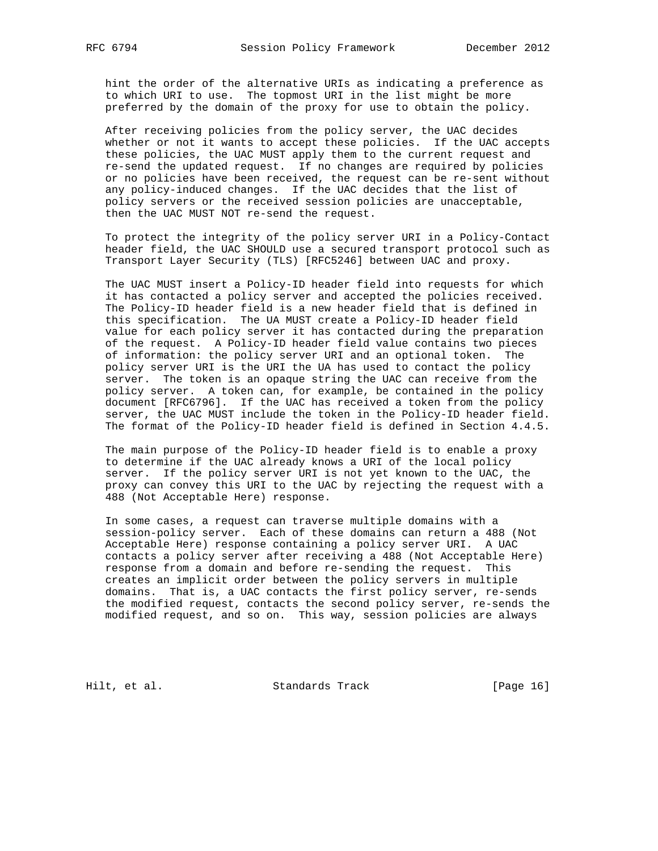hint the order of the alternative URIs as indicating a preference as to which URI to use. The topmost URI in the list might be more preferred by the domain of the proxy for use to obtain the policy.

 After receiving policies from the policy server, the UAC decides whether or not it wants to accept these policies. If the UAC accepts these policies, the UAC MUST apply them to the current request and re-send the updated request. If no changes are required by policies or no policies have been received, the request can be re-sent without any policy-induced changes. If the UAC decides that the list of policy servers or the received session policies are unacceptable, then the UAC MUST NOT re-send the request.

 To protect the integrity of the policy server URI in a Policy-Contact header field, the UAC SHOULD use a secured transport protocol such as Transport Layer Security (TLS) [RFC5246] between UAC and proxy.

 The UAC MUST insert a Policy-ID header field into requests for which it has contacted a policy server and accepted the policies received. The Policy-ID header field is a new header field that is defined in this specification. The UA MUST create a Policy-ID header field value for each policy server it has contacted during the preparation of the request. A Policy-ID header field value contains two pieces of information: the policy server URI and an optional token. The policy server URI is the URI the UA has used to contact the policy server. The token is an opaque string the UAC can receive from the policy server. A token can, for example, be contained in the policy document [RFC6796]. If the UAC has received a token from the policy server, the UAC MUST include the token in the Policy-ID header field. The format of the Policy-ID header field is defined in Section 4.4.5.

 The main purpose of the Policy-ID header field is to enable a proxy to determine if the UAC already knows a URI of the local policy server. If the policy server URI is not yet known to the UAC, the proxy can convey this URI to the UAC by rejecting the request with a 488 (Not Acceptable Here) response.

 In some cases, a request can traverse multiple domains with a session-policy server. Each of these domains can return a 488 (Not Acceptable Here) response containing a policy server URI. A UAC contacts a policy server after receiving a 488 (Not Acceptable Here) response from a domain and before re-sending the request. This creates an implicit order between the policy servers in multiple domains. That is, a UAC contacts the first policy server, re-sends the modified request, contacts the second policy server, re-sends the modified request, and so on. This way, session policies are always

Hilt, et al. Standards Track [Page 16]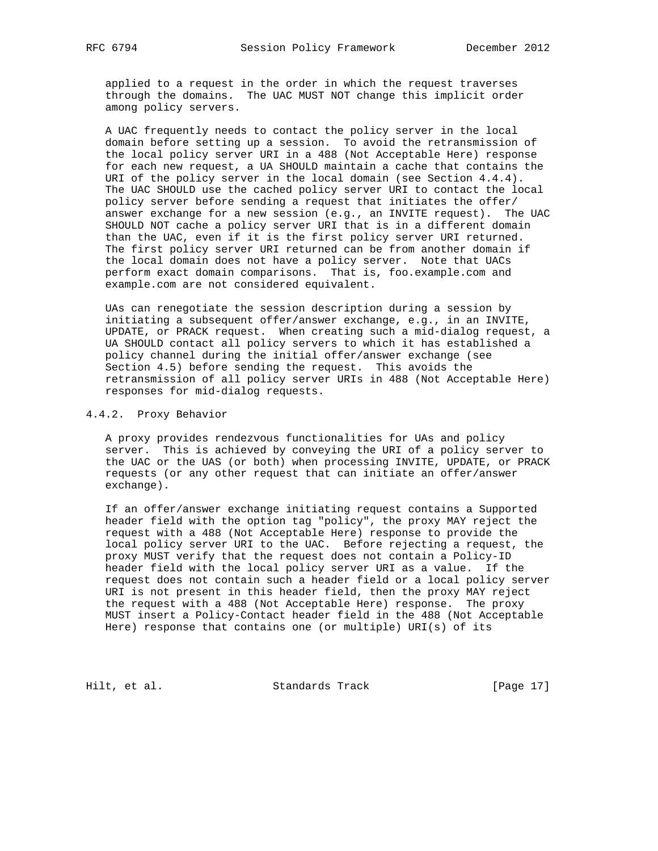applied to a request in the order in which the request traverses through the domains. The UAC MUST NOT change this implicit order among policy servers.

 A UAC frequently needs to contact the policy server in the local domain before setting up a session. To avoid the retransmission of the local policy server URI in a 488 (Not Acceptable Here) response for each new request, a UA SHOULD maintain a cache that contains the URI of the policy server in the local domain (see Section 4.4.4). The UAC SHOULD use the cached policy server URI to contact the local policy server before sending a request that initiates the offer/ answer exchange for a new session (e.g., an INVITE request). The UAC SHOULD NOT cache a policy server URI that is in a different domain than the UAC, even if it is the first policy server URI returned. The first policy server URI returned can be from another domain if the local domain does not have a policy server. Note that UACs perform exact domain comparisons. That is, foo.example.com and example.com are not considered equivalent.

 UAs can renegotiate the session description during a session by initiating a subsequent offer/answer exchange, e.g., in an INVITE, UPDATE, or PRACK request. When creating such a mid-dialog request, a UA SHOULD contact all policy servers to which it has established a policy channel during the initial offer/answer exchange (see Section 4.5) before sending the request. This avoids the retransmission of all policy server URIs in 488 (Not Acceptable Here) responses for mid-dialog requests.

## 4.4.2. Proxy Behavior

 A proxy provides rendezvous functionalities for UAs and policy server. This is achieved by conveying the URI of a policy server to the UAC or the UAS (or both) when processing INVITE, UPDATE, or PRACK requests (or any other request that can initiate an offer/answer exchange).

 If an offer/answer exchange initiating request contains a Supported header field with the option tag "policy", the proxy MAY reject the request with a 488 (Not Acceptable Here) response to provide the local policy server URI to the UAC. Before rejecting a request, the proxy MUST verify that the request does not contain a Policy-ID header field with the local policy server URI as a value. If the request does not contain such a header field or a local policy server URI is not present in this header field, then the proxy MAY reject the request with a 488 (Not Acceptable Here) response. The proxy MUST insert a Policy-Contact header field in the 488 (Not Acceptable Here) response that contains one (or multiple) URI(s) of its

Hilt, et al. Standards Track [Page 17]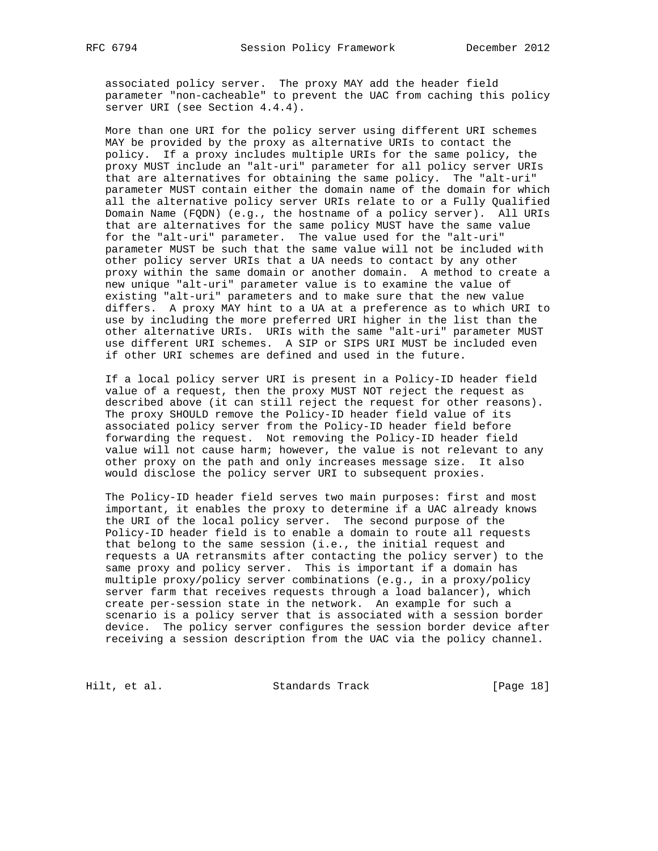associated policy server. The proxy MAY add the header field parameter "non-cacheable" to prevent the UAC from caching this policy server URI (see Section 4.4.4).

 More than one URI for the policy server using different URI schemes MAY be provided by the proxy as alternative URIs to contact the policy. If a proxy includes multiple URIs for the same policy, the proxy MUST include an "alt-uri" parameter for all policy server URIs that are alternatives for obtaining the same policy. The "alt-uri" parameter MUST contain either the domain name of the domain for which all the alternative policy server URIs relate to or a Fully Qualified Domain Name (FQDN) (e.g., the hostname of a policy server). All URIs that are alternatives for the same policy MUST have the same value for the "alt-uri" parameter. The value used for the "alt-uri" parameter MUST be such that the same value will not be included with other policy server URIs that a UA needs to contact by any other proxy within the same domain or another domain. A method to create a new unique "alt-uri" parameter value is to examine the value of existing "alt-uri" parameters and to make sure that the new value differs. A proxy MAY hint to a UA at a preference as to which URI to use by including the more preferred URI higher in the list than the other alternative URIs. URIs with the same "alt-uri" parameter MUST use different URI schemes. A SIP or SIPS URI MUST be included even if other URI schemes are defined and used in the future.

 If a local policy server URI is present in a Policy-ID header field value of a request, then the proxy MUST NOT reject the request as described above (it can still reject the request for other reasons). The proxy SHOULD remove the Policy-ID header field value of its associated policy server from the Policy-ID header field before forwarding the request. Not removing the Policy-ID header field value will not cause harm; however, the value is not relevant to any other proxy on the path and only increases message size. It also would disclose the policy server URI to subsequent proxies.

 The Policy-ID header field serves two main purposes: first and most important, it enables the proxy to determine if a UAC already knows the URI of the local policy server. The second purpose of the Policy-ID header field is to enable a domain to route all requests that belong to the same session (i.e., the initial request and requests a UA retransmits after contacting the policy server) to the same proxy and policy server. This is important if a domain has multiple proxy/policy server combinations (e.g., in a proxy/policy server farm that receives requests through a load balancer), which create per-session state in the network. An example for such a scenario is a policy server that is associated with a session border device. The policy server configures the session border device after receiving a session description from the UAC via the policy channel.

Hilt, et al. Standards Track [Page 18]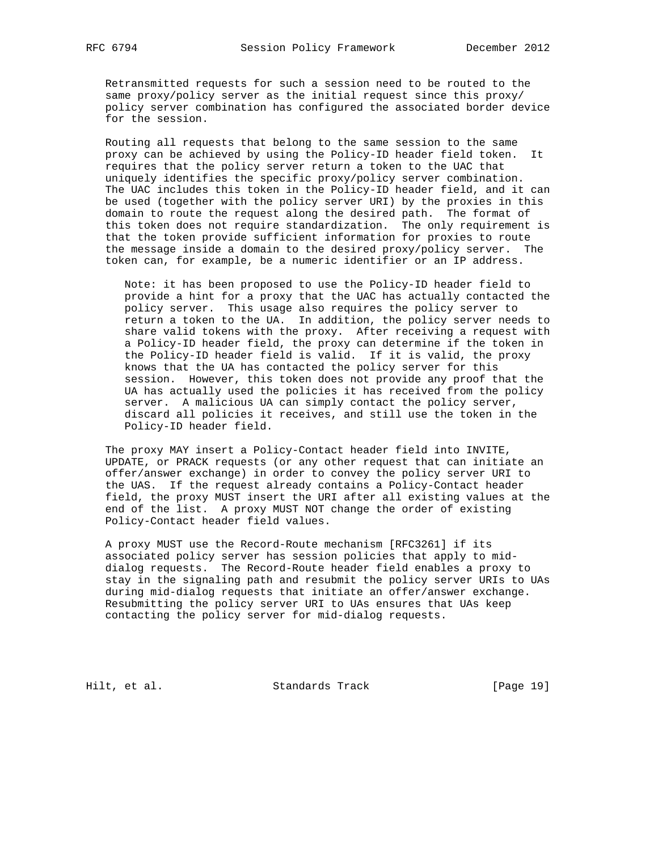Retransmitted requests for such a session need to be routed to the same proxy/policy server as the initial request since this proxy/ policy server combination has configured the associated border device for the session.

 Routing all requests that belong to the same session to the same proxy can be achieved by using the Policy-ID header field token. It requires that the policy server return a token to the UAC that uniquely identifies the specific proxy/policy server combination. The UAC includes this token in the Policy-ID header field, and it can be used (together with the policy server URI) by the proxies in this domain to route the request along the desired path. The format of this token does not require standardization. The only requirement is that the token provide sufficient information for proxies to route the message inside a domain to the desired proxy/policy server. The token can, for example, be a numeric identifier or an IP address.

 Note: it has been proposed to use the Policy-ID header field to provide a hint for a proxy that the UAC has actually contacted the policy server. This usage also requires the policy server to return a token to the UA. In addition, the policy server needs to share valid tokens with the proxy. After receiving a request with a Policy-ID header field, the proxy can determine if the token in the Policy-ID header field is valid. If it is valid, the proxy knows that the UA has contacted the policy server for this session. However, this token does not provide any proof that the UA has actually used the policies it has received from the policy server. A malicious UA can simply contact the policy server, discard all policies it receives, and still use the token in the Policy-ID header field.

 The proxy MAY insert a Policy-Contact header field into INVITE, UPDATE, or PRACK requests (or any other request that can initiate an offer/answer exchange) in order to convey the policy server URI to the UAS. If the request already contains a Policy-Contact header field, the proxy MUST insert the URI after all existing values at the end of the list. A proxy MUST NOT change the order of existing Policy-Contact header field values.

 A proxy MUST use the Record-Route mechanism [RFC3261] if its associated policy server has session policies that apply to mid dialog requests. The Record-Route header field enables a proxy to stay in the signaling path and resubmit the policy server URIs to UAs during mid-dialog requests that initiate an offer/answer exchange. Resubmitting the policy server URI to UAs ensures that UAs keep contacting the policy server for mid-dialog requests.

Hilt, et al. Standards Track [Page 19]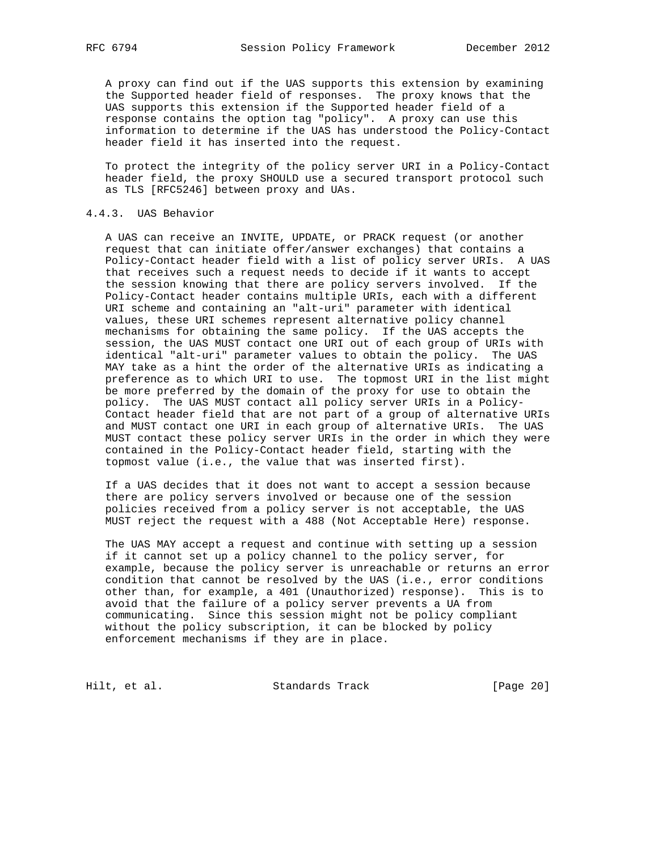A proxy can find out if the UAS supports this extension by examining the Supported header field of responses. The proxy knows that the UAS supports this extension if the Supported header field of a response contains the option tag "policy". A proxy can use this information to determine if the UAS has understood the Policy-Contact header field it has inserted into the request.

 To protect the integrity of the policy server URI in a Policy-Contact header field, the proxy SHOULD use a secured transport protocol such as TLS [RFC5246] between proxy and UAs.

## 4.4.3. UAS Behavior

 A UAS can receive an INVITE, UPDATE, or PRACK request (or another request that can initiate offer/answer exchanges) that contains a Policy-Contact header field with a list of policy server URIs. A UAS that receives such a request needs to decide if it wants to accept the session knowing that there are policy servers involved. If the Policy-Contact header contains multiple URIs, each with a different URI scheme and containing an "alt-uri" parameter with identical values, these URI schemes represent alternative policy channel mechanisms for obtaining the same policy. If the UAS accepts the session, the UAS MUST contact one URI out of each group of URIs with identical "alt-uri" parameter values to obtain the policy. The UAS MAY take as a hint the order of the alternative URIs as indicating a preference as to which URI to use. The topmost URI in the list might be more preferred by the domain of the proxy for use to obtain the policy. The UAS MUST contact all policy server URIs in a Policy- Contact header field that are not part of a group of alternative URIs and MUST contact one URI in each group of alternative URIs. The UAS MUST contact these policy server URIs in the order in which they were contained in the Policy-Contact header field, starting with the topmost value (i.e., the value that was inserted first).

 If a UAS decides that it does not want to accept a session because there are policy servers involved or because one of the session policies received from a policy server is not acceptable, the UAS MUST reject the request with a 488 (Not Acceptable Here) response.

 The UAS MAY accept a request and continue with setting up a session if it cannot set up a policy channel to the policy server, for example, because the policy server is unreachable or returns an error condition that cannot be resolved by the UAS (i.e., error conditions other than, for example, a 401 (Unauthorized) response). This is to avoid that the failure of a policy server prevents a UA from communicating. Since this session might not be policy compliant without the policy subscription, it can be blocked by policy enforcement mechanisms if they are in place.

Hilt, et al. Standards Track [Page 20]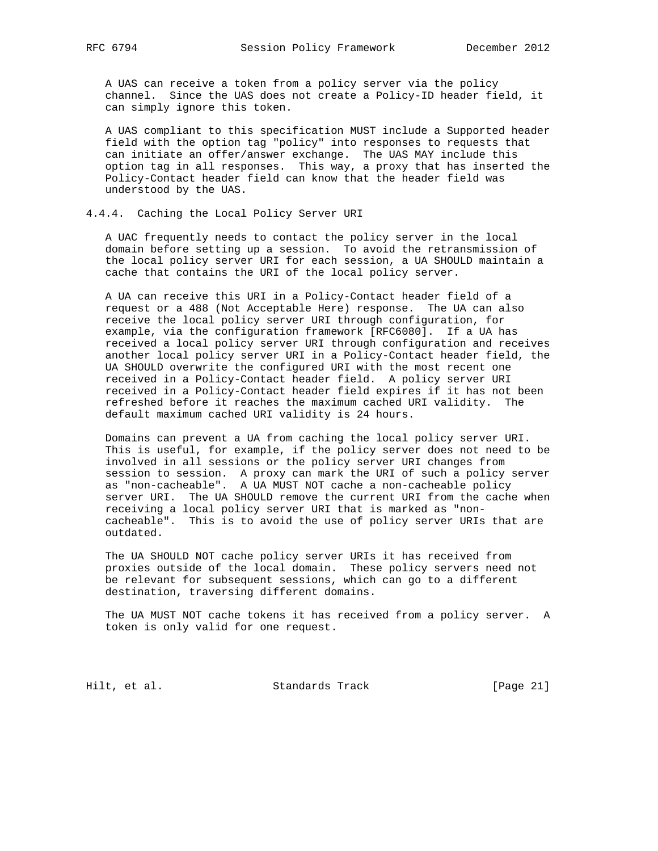A UAS can receive a token from a policy server via the policy channel. Since the UAS does not create a Policy-ID header field, it can simply ignore this token.

 A UAS compliant to this specification MUST include a Supported header field with the option tag "policy" into responses to requests that can initiate an offer/answer exchange. The UAS MAY include this option tag in all responses. This way, a proxy that has inserted the Policy-Contact header field can know that the header field was understood by the UAS.

#### 4.4.4. Caching the Local Policy Server URI

 A UAC frequently needs to contact the policy server in the local domain before setting up a session. To avoid the retransmission of the local policy server URI for each session, a UA SHOULD maintain a cache that contains the URI of the local policy server.

 A UA can receive this URI in a Policy-Contact header field of a request or a 488 (Not Acceptable Here) response. The UA can also receive the local policy server URI through configuration, for example, via the configuration framework [RFC6080]. If a UA has received a local policy server URI through configuration and receives another local policy server URI in a Policy-Contact header field, the UA SHOULD overwrite the configured URI with the most recent one received in a Policy-Contact header field. A policy server URI received in a Policy-Contact header field expires if it has not been refreshed before it reaches the maximum cached URI validity. The default maximum cached URI validity is 24 hours.

 Domains can prevent a UA from caching the local policy server URI. This is useful, for example, if the policy server does not need to be involved in all sessions or the policy server URI changes from session to session. A proxy can mark the URI of such a policy server as "non-cacheable". A UA MUST NOT cache a non-cacheable policy server URI. The UA SHOULD remove the current URI from the cache when receiving a local policy server URI that is marked as "non cacheable". This is to avoid the use of policy server URIs that are outdated.

 The UA SHOULD NOT cache policy server URIs it has received from proxies outside of the local domain. These policy servers need not be relevant for subsequent sessions, which can go to a different destination, traversing different domains.

 The UA MUST NOT cache tokens it has received from a policy server. A token is only valid for one request.

Hilt, et al. Standards Track [Page 21]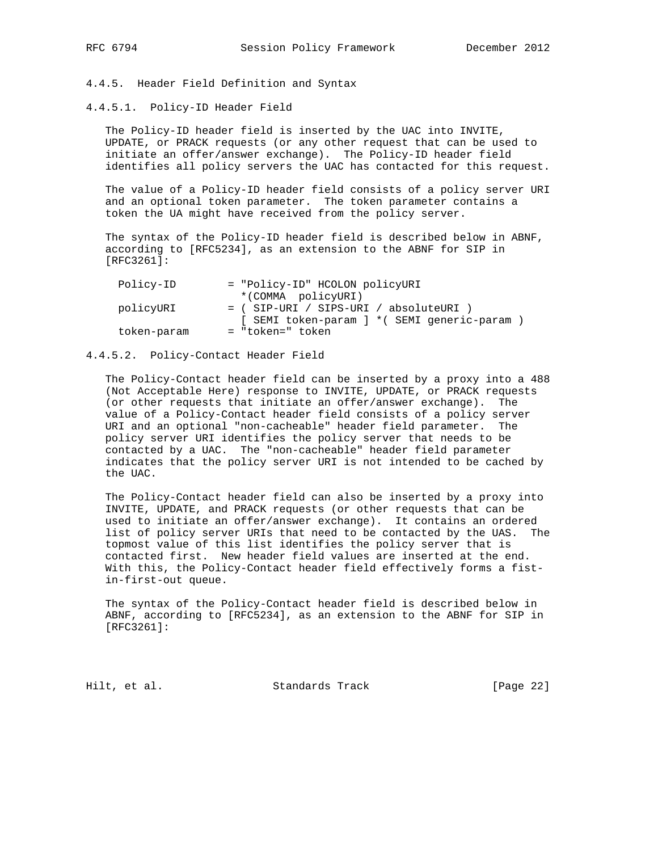## 4.4.5. Header Field Definition and Syntax

#### 4.4.5.1. Policy-ID Header Field

 The Policy-ID header field is inserted by the UAC into INVITE, UPDATE, or PRACK requests (or any other request that can be used to initiate an offer/answer exchange). The Policy-ID header field identifies all policy servers the UAC has contacted for this request.

 The value of a Policy-ID header field consists of a policy server URI and an optional token parameter. The token parameter contains a token the UA might have received from the policy server.

 The syntax of the Policy-ID header field is described below in ABNF, according to [RFC5234], as an extension to the ABNF for SIP in [RFC3261]:

| Policy-ID   | = "Policy-ID" HCOLON policyURI                |
|-------------|-----------------------------------------------|
|             | *(COMMA policyURI)                            |
| policyURI   | $=$ ( SIP-URI / SIPS-URI / absoluteURI )      |
|             | [ SEMI token-param ] * ( SEMI generic-param ) |
| token-param | = "token=" token                              |

## 4.4.5.2. Policy-Contact Header Field

 The Policy-Contact header field can be inserted by a proxy into a 488 (Not Acceptable Here) response to INVITE, UPDATE, or PRACK requests (or other requests that initiate an offer/answer exchange). The value of a Policy-Contact header field consists of a policy server URI and an optional "non-cacheable" header field parameter. The policy server URI identifies the policy server that needs to be contacted by a UAC. The "non-cacheable" header field parameter indicates that the policy server URI is not intended to be cached by the UAC.

 The Policy-Contact header field can also be inserted by a proxy into INVITE, UPDATE, and PRACK requests (or other requests that can be used to initiate an offer/answer exchange). It contains an ordered list of policy server URIs that need to be contacted by the UAS. The topmost value of this list identifies the policy server that is contacted first. New header field values are inserted at the end. With this, the Policy-Contact header field effectively forms a fist in-first-out queue.

 The syntax of the Policy-Contact header field is described below in ABNF, according to [RFC5234], as an extension to the ABNF for SIP in [RFC3261]:

Hilt, et al. Standards Track [Page 22]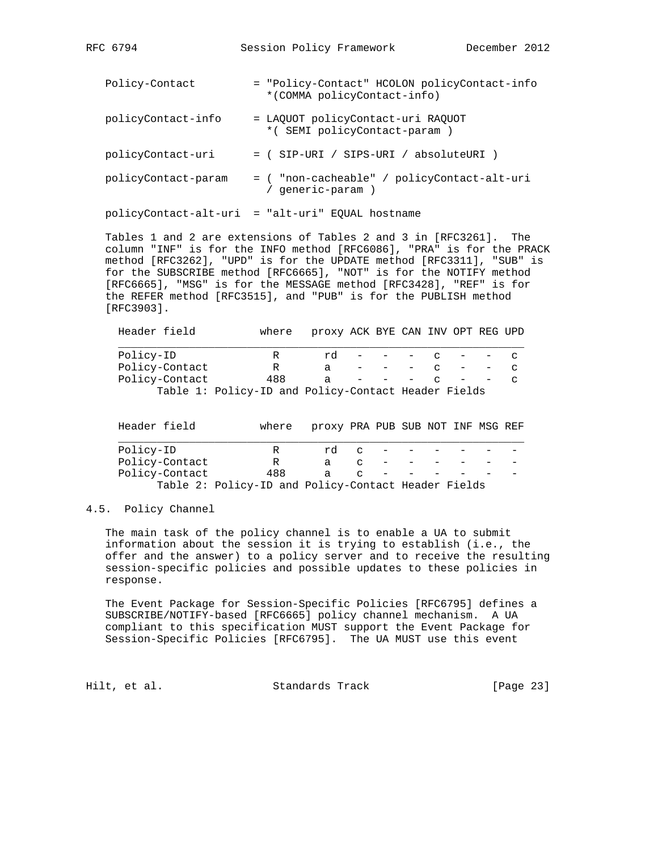| Policy-Contact      | = "Policy-Contact" HCOLON policyContact-info<br>*(COMMA policyContact-info) |
|---------------------|-----------------------------------------------------------------------------|
| policyContact-info  | = LAQUOT policyContact-uri RAQUOT<br>*(SEMI policyContact-param)            |
| policyContact-uri   | = ( SIP-URI / SIPS-URI / absoluteURI )                                      |
| policyContact-param | = ( "non-cacheable" / policyContact-alt-uri<br>qeneric-param )              |

RFC 6794 Session Policy Framework December 2012

policyContact-alt-uri = "alt-uri" EQUAL hostname

 Tables 1 and 2 are extensions of Tables 2 and 3 in [RFC3261]. The column "INF" is for the INFO method [RFC6086], "PRA" is for the PRACK method [RFC3262], "UPD" is for the UPDATE method [RFC3311], "SUB" is for the SUBSCRIBE method [RFC6665], "NOT" is for the NOTIFY method [RFC6665], "MSG" is for the MESSAGE method [RFC3428], "REF" is for the REFER method [RFC3515], and "PUB" is for the PUBLISH method [RFC3903].

| where |    |  |        |               |                                                                                          |
|-------|----|--|--------|---------------|------------------------------------------------------------------------------------------|
| R     | rd |  |        |               | $\sim$                                                                                   |
| R     | a  |  | $\sim$ |               | $\mathbf{C}$                                                                             |
| 488   | a  |  | $\sim$ |               | $\sim$                                                                                   |
|       |    |  |        |               |                                                                                          |
|       |    |  |        |               |                                                                                          |
|       |    |  |        | $\sim$ $\sim$ | proxy ACK BYE CAN INV OPT REG UPD<br>Table 1: Policy-ID and Policy-Contact Header Fields |

| Header field   | where                                               | proxy PRA PUB SUB NOT INF MSG REF |               |                                   |  |  |
|----------------|-----------------------------------------------------|-----------------------------------|---------------|-----------------------------------|--|--|
| Policy-ID      | R                                                   | rd                                | $\sim$        | and the state of the state of the |  |  |
| Policy-Contact | R                                                   |                                   | $\mathbf{C}$  |                                   |  |  |
| Policy-Contact | 488                                                 | a                                 | $\mathcal{C}$ |                                   |  |  |
|                | Table 2: Policy-ID and Policy-Contact Header Fields |                                   |               |                                   |  |  |

#### 4.5. Policy Channel

 The main task of the policy channel is to enable a UA to submit information about the session it is trying to establish (i.e., the offer and the answer) to a policy server and to receive the resulting session-specific policies and possible updates to these policies in response.

 The Event Package for Session-Specific Policies [RFC6795] defines a SUBSCRIBE/NOTIFY-based [RFC6665] policy channel mechanism. A UA compliant to this specification MUST support the Event Package for Session-Specific Policies [RFC6795]. The UA MUST use this event

Hilt, et al. Standards Track [Page 23]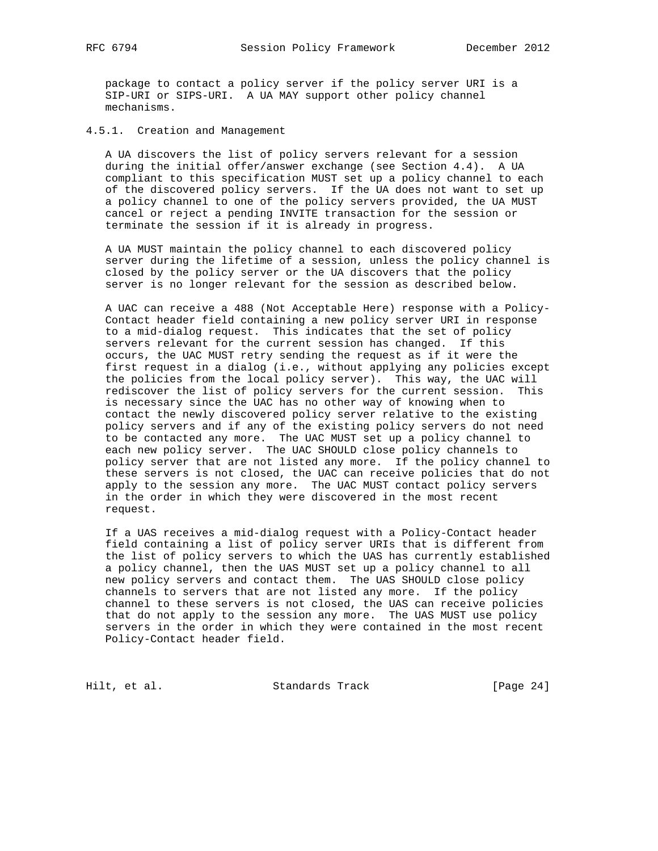package to contact a policy server if the policy server URI is a SIP-URI or SIPS-URI. A UA MAY support other policy channel mechanisms.

4.5.1. Creation and Management

 A UA discovers the list of policy servers relevant for a session during the initial offer/answer exchange (see Section 4.4). A UA compliant to this specification MUST set up a policy channel to each of the discovered policy servers. If the UA does not want to set up a policy channel to one of the policy servers provided, the UA MUST cancel or reject a pending INVITE transaction for the session or terminate the session if it is already in progress.

 A UA MUST maintain the policy channel to each discovered policy server during the lifetime of a session, unless the policy channel is closed by the policy server or the UA discovers that the policy server is no longer relevant for the session as described below.

 A UAC can receive a 488 (Not Acceptable Here) response with a Policy- Contact header field containing a new policy server URI in response to a mid-dialog request. This indicates that the set of policy servers relevant for the current session has changed. If this occurs, the UAC MUST retry sending the request as if it were the first request in a dialog (i.e., without applying any policies except the policies from the local policy server). This way, the UAC will rediscover the list of policy servers for the current session. This is necessary since the UAC has no other way of knowing when to contact the newly discovered policy server relative to the existing policy servers and if any of the existing policy servers do not need to be contacted any more. The UAC MUST set up a policy channel to each new policy server. The UAC SHOULD close policy channels to policy server that are not listed any more. If the policy channel to these servers is not closed, the UAC can receive policies that do not apply to the session any more. The UAC MUST contact policy servers in the order in which they were discovered in the most recent request.

 If a UAS receives a mid-dialog request with a Policy-Contact header field containing a list of policy server URIs that is different from the list of policy servers to which the UAS has currently established a policy channel, then the UAS MUST set up a policy channel to all new policy servers and contact them. The UAS SHOULD close policy channels to servers that are not listed any more. If the policy channel to these servers is not closed, the UAS can receive policies that do not apply to the session any more. The UAS MUST use policy servers in the order in which they were contained in the most recent Policy-Contact header field.

Hilt, et al. Standards Track [Page 24]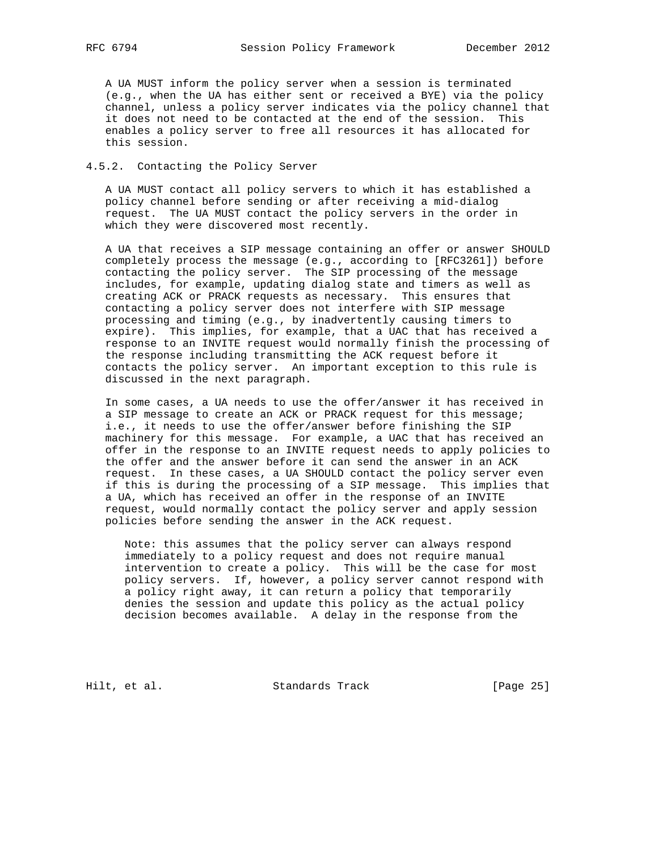A UA MUST inform the policy server when a session is terminated (e.g., when the UA has either sent or received a BYE) via the policy channel, unless a policy server indicates via the policy channel that it does not need to be contacted at the end of the session. This enables a policy server to free all resources it has allocated for this session.

#### 4.5.2. Contacting the Policy Server

 A UA MUST contact all policy servers to which it has established a policy channel before sending or after receiving a mid-dialog request. The UA MUST contact the policy servers in the order in which they were discovered most recently.

 A UA that receives a SIP message containing an offer or answer SHOULD completely process the message (e.g., according to [RFC3261]) before contacting the policy server. The SIP processing of the message includes, for example, updating dialog state and timers as well as creating ACK or PRACK requests as necessary. This ensures that contacting a policy server does not interfere with SIP message processing and timing (e.g., by inadvertently causing timers to expire). This implies, for example, that a UAC that has received a response to an INVITE request would normally finish the processing of the response including transmitting the ACK request before it contacts the policy server. An important exception to this rule is discussed in the next paragraph.

 In some cases, a UA needs to use the offer/answer it has received in a SIP message to create an ACK or PRACK request for this message; i.e., it needs to use the offer/answer before finishing the SIP machinery for this message. For example, a UAC that has received an offer in the response to an INVITE request needs to apply policies to the offer and the answer before it can send the answer in an ACK request. In these cases, a UA SHOULD contact the policy server even if this is during the processing of a SIP message. This implies that a UA, which has received an offer in the response of an INVITE request, would normally contact the policy server and apply session policies before sending the answer in the ACK request.

 Note: this assumes that the policy server can always respond immediately to a policy request and does not require manual intervention to create a policy. This will be the case for most policy servers. If, however, a policy server cannot respond with a policy right away, it can return a policy that temporarily denies the session and update this policy as the actual policy decision becomes available. A delay in the response from the

Hilt, et al. Standards Track [Page 25]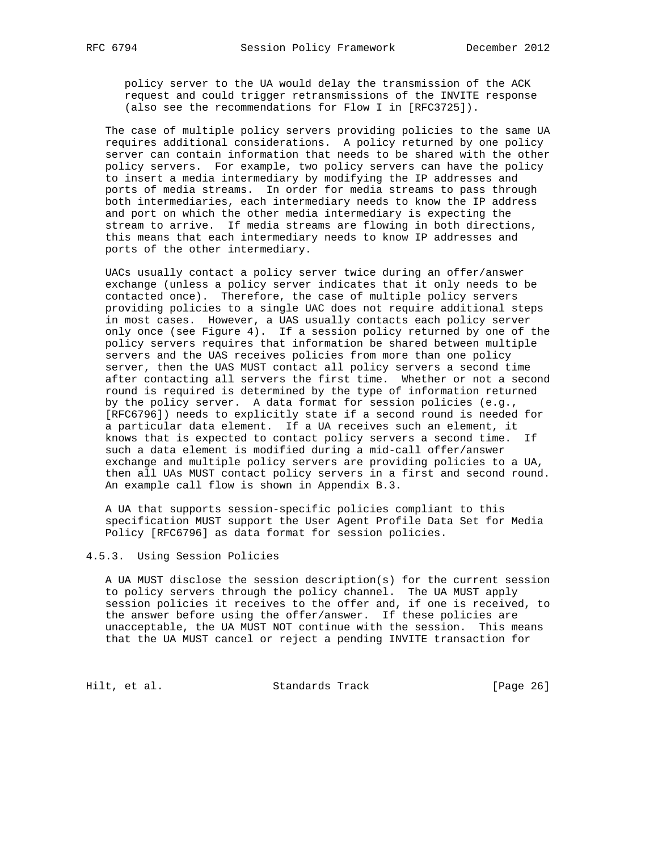policy server to the UA would delay the transmission of the ACK request and could trigger retransmissions of the INVITE response (also see the recommendations for Flow I in [RFC3725]).

 The case of multiple policy servers providing policies to the same UA requires additional considerations. A policy returned by one policy server can contain information that needs to be shared with the other policy servers. For example, two policy servers can have the policy to insert a media intermediary by modifying the IP addresses and ports of media streams. In order for media streams to pass through both intermediaries, each intermediary needs to know the IP address and port on which the other media intermediary is expecting the stream to arrive. If media streams are flowing in both directions, this means that each intermediary needs to know IP addresses and ports of the other intermediary.

 UACs usually contact a policy server twice during an offer/answer exchange (unless a policy server indicates that it only needs to be contacted once). Therefore, the case of multiple policy servers providing policies to a single UAC does not require additional steps in most cases. However, a UAS usually contacts each policy server only once (see Figure 4). If a session policy returned by one of the policy servers requires that information be shared between multiple servers and the UAS receives policies from more than one policy server, then the UAS MUST contact all policy servers a second time after contacting all servers the first time. Whether or not a second round is required is determined by the type of information returned by the policy server. A data format for session policies (e.g., [RFC6796]) needs to explicitly state if a second round is needed for a particular data element. If a UA receives such an element, it knows that is expected to contact policy servers a second time. If such a data element is modified during a mid-call offer/answer exchange and multiple policy servers are providing policies to a UA, then all UAs MUST contact policy servers in a first and second round. An example call flow is shown in Appendix B.3.

 A UA that supports session-specific policies compliant to this specification MUST support the User Agent Profile Data Set for Media Policy [RFC6796] as data format for session policies.

#### 4.5.3. Using Session Policies

 A UA MUST disclose the session description(s) for the current session to policy servers through the policy channel. The UA MUST apply session policies it receives to the offer and, if one is received, to the answer before using the offer/answer. If these policies are unacceptable, the UA MUST NOT continue with the session. This means that the UA MUST cancel or reject a pending INVITE transaction for

Hilt, et al. Standards Track [Page 26]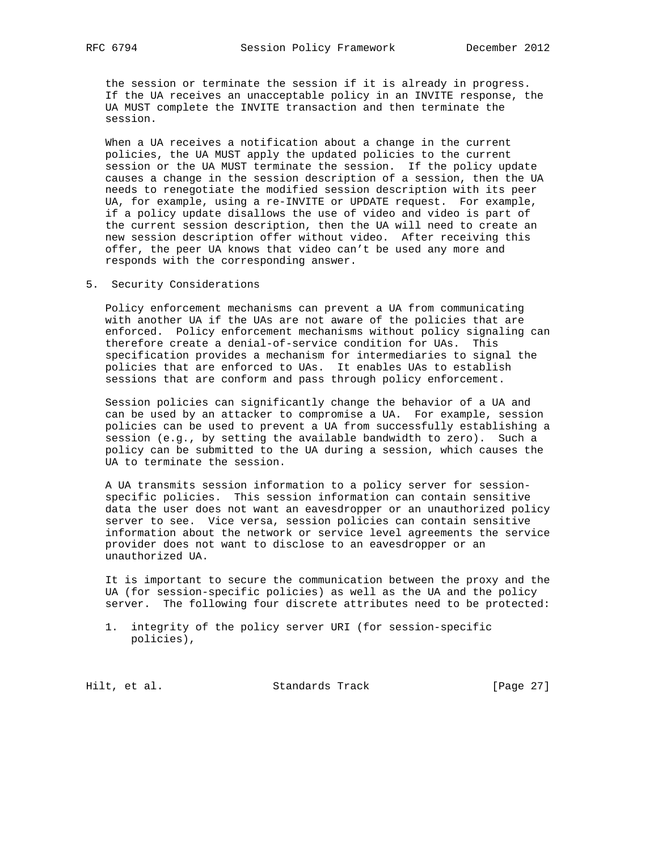the session or terminate the session if it is already in progress. If the UA receives an unacceptable policy in an INVITE response, the UA MUST complete the INVITE transaction and then terminate the session.

 When a UA receives a notification about a change in the current policies, the UA MUST apply the updated policies to the current session or the UA MUST terminate the session. If the policy update causes a change in the session description of a session, then the UA needs to renegotiate the modified session description with its peer UA, for example, using a re-INVITE or UPDATE request. For example, if a policy update disallows the use of video and video is part of the current session description, then the UA will need to create an new session description offer without video. After receiving this offer, the peer UA knows that video can't be used any more and responds with the corresponding answer.

5. Security Considerations

 Policy enforcement mechanisms can prevent a UA from communicating with another UA if the UAs are not aware of the policies that are enforced. Policy enforcement mechanisms without policy signaling can therefore create a denial-of-service condition for UAs. This specification provides a mechanism for intermediaries to signal the policies that are enforced to UAs. It enables UAs to establish sessions that are conform and pass through policy enforcement.

 Session policies can significantly change the behavior of a UA and can be used by an attacker to compromise a UA. For example, session policies can be used to prevent a UA from successfully establishing a session (e.g., by setting the available bandwidth to zero). Such a policy can be submitted to the UA during a session, which causes the UA to terminate the session.

 A UA transmits session information to a policy server for session specific policies. This session information can contain sensitive data the user does not want an eavesdropper or an unauthorized policy server to see. Vice versa, session policies can contain sensitive information about the network or service level agreements the service provider does not want to disclose to an eavesdropper or an unauthorized UA.

 It is important to secure the communication between the proxy and the UA (for session-specific policies) as well as the UA and the policy server. The following four discrete attributes need to be protected:

 1. integrity of the policy server URI (for session-specific policies),

Hilt, et al. Standards Track [Page 27]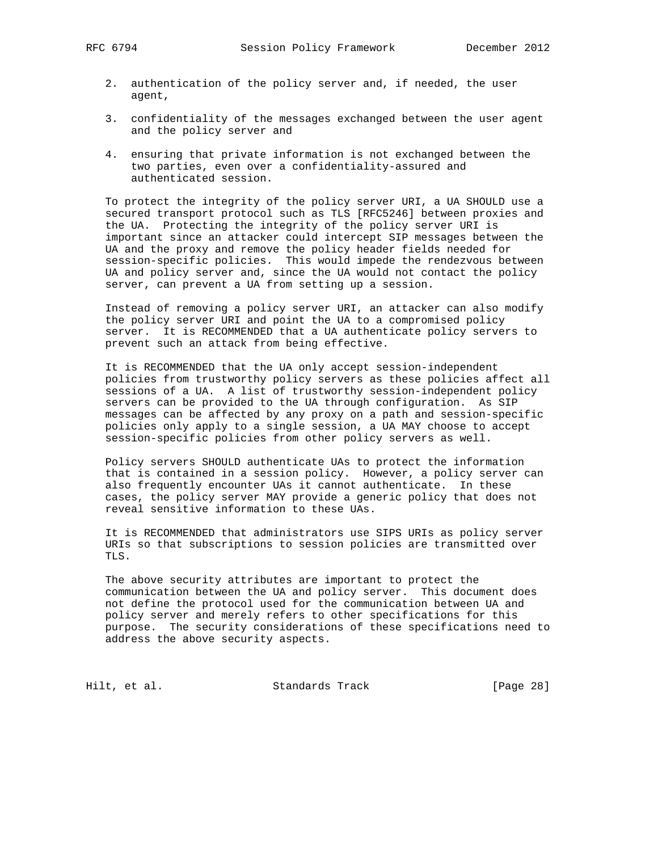- 2. authentication of the policy server and, if needed, the user agent,
- 3. confidentiality of the messages exchanged between the user agent and the policy server and
- 4. ensuring that private information is not exchanged between the two parties, even over a confidentiality-assured and authenticated session.

 To protect the integrity of the policy server URI, a UA SHOULD use a secured transport protocol such as TLS [RFC5246] between proxies and the UA. Protecting the integrity of the policy server URI is important since an attacker could intercept SIP messages between the UA and the proxy and remove the policy header fields needed for session-specific policies. This would impede the rendezvous between UA and policy server and, since the UA would not contact the policy server, can prevent a UA from setting up a session.

 Instead of removing a policy server URI, an attacker can also modify the policy server URI and point the UA to a compromised policy server. It is RECOMMENDED that a UA authenticate policy servers to prevent such an attack from being effective.

 It is RECOMMENDED that the UA only accept session-independent policies from trustworthy policy servers as these policies affect all sessions of a UA. A list of trustworthy session-independent policy servers can be provided to the UA through configuration. As SIP messages can be affected by any proxy on a path and session-specific policies only apply to a single session, a UA MAY choose to accept session-specific policies from other policy servers as well.

 Policy servers SHOULD authenticate UAs to protect the information that is contained in a session policy. However, a policy server can also frequently encounter UAs it cannot authenticate. In these cases, the policy server MAY provide a generic policy that does not reveal sensitive information to these UAs.

 It is RECOMMENDED that administrators use SIPS URIs as policy server URIs so that subscriptions to session policies are transmitted over TLS.

 The above security attributes are important to protect the communication between the UA and policy server. This document does not define the protocol used for the communication between UA and policy server and merely refers to other specifications for this purpose. The security considerations of these specifications need to address the above security aspects.

Hilt, et al. Standards Track [Page 28]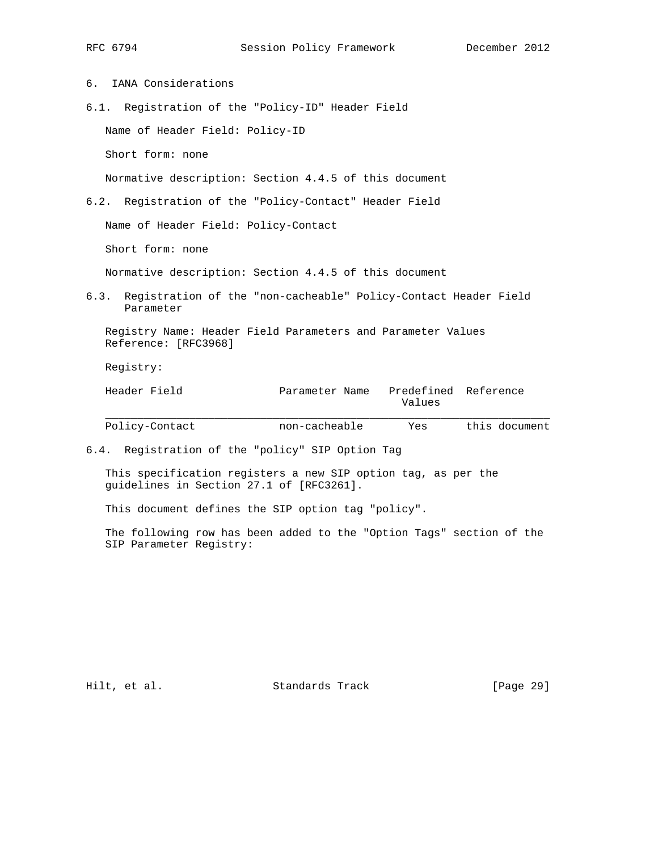6. IANA Considerations 6.1. Registration of the "Policy-ID" Header Field Name of Header Field: Policy-ID Short form: none Normative description: Section 4.4.5 of this document 6.2. Registration of the "Policy-Contact" Header Field Name of Header Field: Policy-Contact Short form: none Normative description: Section 4.4.5 of this document 6.3. Registration of the "non-cacheable" Policy-Contact Header Field Parameter Registry Name: Header Field Parameters and Parameter Values Reference: [RFC3968] Registry: Header Field Parameter Name Predefined Reference Values  $\mathcal{L} = \{ \mathcal{L} = \{ \mathcal{L} \} \cup \{ \mathcal{L} \} \cup \{ \mathcal{L} \} \cup \{ \mathcal{L} \} \cup \{ \mathcal{L} \} \cup \{ \mathcal{L} \} \cup \{ \mathcal{L} \} \cup \{ \mathcal{L} \} \cup \{ \mathcal{L} \} \cup \{ \mathcal{L} \} \cup \{ \mathcal{L} \} \cup \{ \mathcal{L} \} \cup \{ \mathcal{L} \} \cup \{ \mathcal{L} \} \cup \{ \mathcal{L} \} \cup \{ \mathcal{L} \} \cup \{ \mathcal{L} \} \cup$ 

Policy-Contact non-cacheable Yes this document

6.4. Registration of the "policy" SIP Option Tag

 This specification registers a new SIP option tag, as per the guidelines in Section 27.1 of [RFC3261].

This document defines the SIP option tag "policy".

 The following row has been added to the "Option Tags" section of the SIP Parameter Registry:

Hilt, et al. Standards Track [Page 29]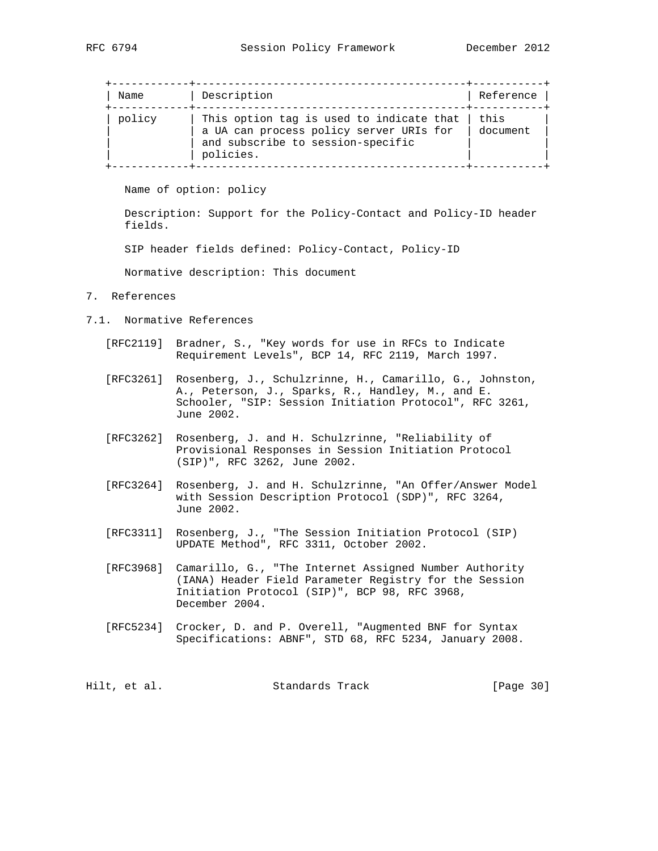| Name   | Description                                                                                                                           | Reference        |
|--------|---------------------------------------------------------------------------------------------------------------------------------------|------------------|
| policy | This option tag is used to indicate that<br>a UA can process policy server URIs for<br>and subscribe to session-specific<br>policies. | this<br>document |

Name of option: policy

 Description: Support for the Policy-Contact and Policy-ID header fields.

SIP header fields defined: Policy-Contact, Policy-ID

Normative description: This document

- 7. References
- 7.1. Normative References
	- [RFC2119] Bradner, S., "Key words for use in RFCs to Indicate Requirement Levels", BCP 14, RFC 2119, March 1997.
	- [RFC3261] Rosenberg, J., Schulzrinne, H., Camarillo, G., Johnston, A., Peterson, J., Sparks, R., Handley, M., and E. Schooler, "SIP: Session Initiation Protocol", RFC 3261, June 2002.
	- [RFC3262] Rosenberg, J. and H. Schulzrinne, "Reliability of Provisional Responses in Session Initiation Protocol (SIP)", RFC 3262, June 2002.
	- [RFC3264] Rosenberg, J. and H. Schulzrinne, "An Offer/Answer Model with Session Description Protocol (SDP)", RFC 3264, June 2002.
- [RFC3311] Rosenberg, J., "The Session Initiation Protocol (SIP) UPDATE Method", RFC 3311, October 2002.
	- [RFC3968] Camarillo, G., "The Internet Assigned Number Authority (IANA) Header Field Parameter Registry for the Session Initiation Protocol (SIP)", BCP 98, RFC 3968, December 2004.
	- [RFC5234] Crocker, D. and P. Overell, "Augmented BNF for Syntax Specifications: ABNF", STD 68, RFC 5234, January 2008.

Hilt, et al. Standards Track [Page 30]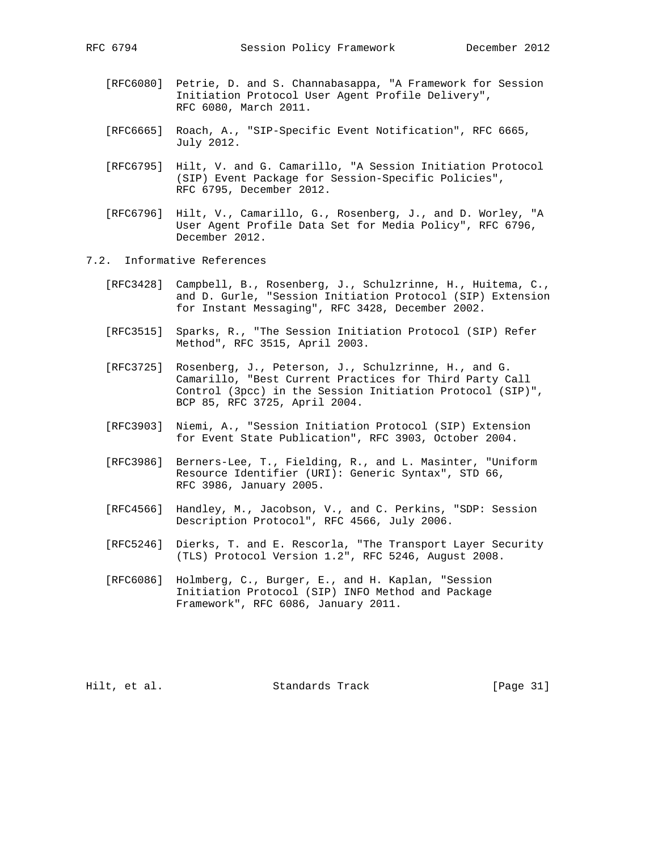- [RFC6080] Petrie, D. and S. Channabasappa, "A Framework for Session Initiation Protocol User Agent Profile Delivery", RFC 6080, March 2011.
- [RFC6665] Roach, A., "SIP-Specific Event Notification", RFC 6665, July 2012.
- [RFC6795] Hilt, V. and G. Camarillo, "A Session Initiation Protocol (SIP) Event Package for Session-Specific Policies", RFC 6795, December 2012.
- [RFC6796] Hilt, V., Camarillo, G., Rosenberg, J., and D. Worley, "A User Agent Profile Data Set for Media Policy", RFC 6796, December 2012.
- 7.2. Informative References
	- [RFC3428] Campbell, B., Rosenberg, J., Schulzrinne, H., Huitema, C., and D. Gurle, "Session Initiation Protocol (SIP) Extension for Instant Messaging", RFC 3428, December 2002.
	- [RFC3515] Sparks, R., "The Session Initiation Protocol (SIP) Refer Method", RFC 3515, April 2003.
	- [RFC3725] Rosenberg, J., Peterson, J., Schulzrinne, H., and G. Camarillo, "Best Current Practices for Third Party Call Control (3pcc) in the Session Initiation Protocol (SIP)", BCP 85, RFC 3725, April 2004.
	- [RFC3903] Niemi, A., "Session Initiation Protocol (SIP) Extension for Event State Publication", RFC 3903, October 2004.
	- [RFC3986] Berners-Lee, T., Fielding, R., and L. Masinter, "Uniform Resource Identifier (URI): Generic Syntax", STD 66, RFC 3986, January 2005.
	- [RFC4566] Handley, M., Jacobson, V., and C. Perkins, "SDP: Session Description Protocol", RFC 4566, July 2006.
	- [RFC5246] Dierks, T. and E. Rescorla, "The Transport Layer Security (TLS) Protocol Version 1.2", RFC 5246, August 2008.
	- [RFC6086] Holmberg, C., Burger, E., and H. Kaplan, "Session Initiation Protocol (SIP) INFO Method and Package Framework", RFC 6086, January 2011.

Hilt, et al. Standards Track [Page 31]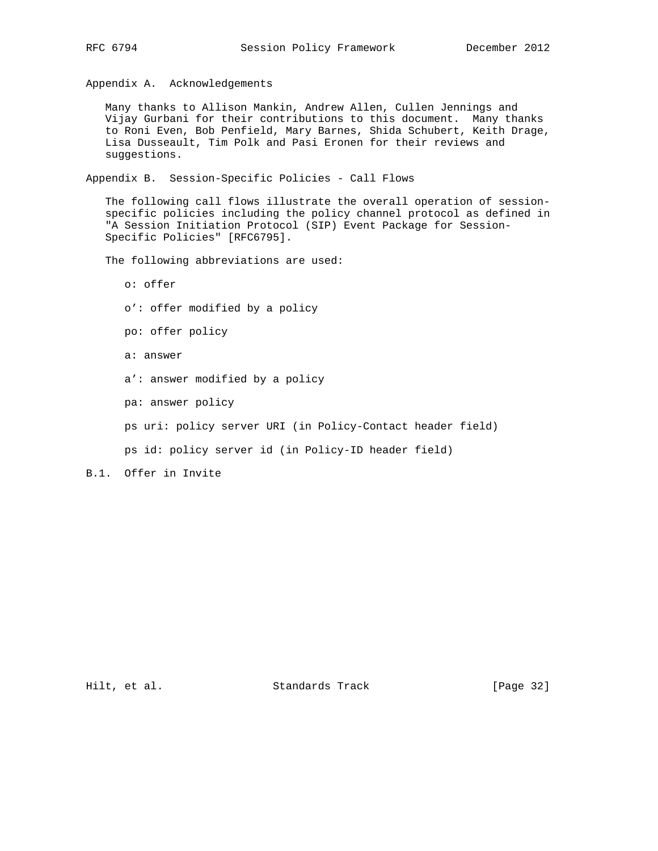Appendix A. Acknowledgements

 Many thanks to Allison Mankin, Andrew Allen, Cullen Jennings and Vijay Gurbani for their contributions to this document. Many thanks to Roni Even, Bob Penfield, Mary Barnes, Shida Schubert, Keith Drage, Lisa Dusseault, Tim Polk and Pasi Eronen for their reviews and suggestions.

Appendix B. Session-Specific Policies - Call Flows

 The following call flows illustrate the overall operation of session specific policies including the policy channel protocol as defined in "A Session Initiation Protocol (SIP) Event Package for Session- Specific Policies" [RFC6795].

The following abbreviations are used:

 o: offer o': offer modified by a policy po: offer policy a: answer a': answer modified by a policy pa: answer policy ps uri: policy server URI (in Policy-Contact header field) ps id: policy server id (in Policy-ID header field)

B.1. Offer in Invite

Hilt, et al. Standards Track [Page 32]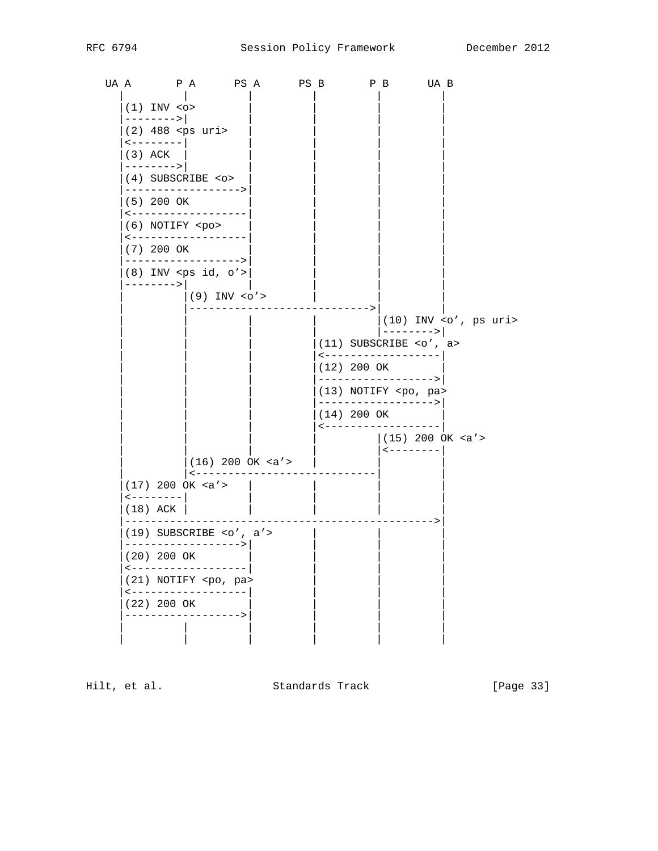UAA PA PSA PSB PB UAB  $(1)$  INV  $\sim$  $------&>$  $(2)$  488 <ps uri>  $\leftarrow$  - - - - - - - |  $(3)$  ACK -------->|  $(4)$  SUBSCRIBE < $o$ > ----------------->  $(5)$  200 OK <-------------------(6) NOTIFY <po> <------------------ $(7)$  200 OK ----------------->  $(8)$  INV <ps id, o'>  $------&>$  $|(9)$  INV <0'> **Contract Contract** -----------------------------> **The Common**  $|(10)$  INV <o', ps uri>  $\vert$  --------> $\vert$  $(11)$  SUBSCRIBE <o', a> <------------------- $(12)$  200 OK ------------------>| (13) NOTIFY <po, pa> ------------------>|  $(14)$  200 OK \_\_\_\_\_\_\_\_\_\_\_\_\_\_\_\_\_\_\_  $(15)$  200 OK <a'> | <---------|  $(16) 200 \text{ ok} < a' >$ |<------------------------------ $(17)$  200 OK <a'>  $\mathbb{R}$  $\leftarrow$  - - - - - - - -  $\left|$  $(18)$  ACK  $|$ **Contract Contract**  $\Box$  $\Box$  $(19)$  SUBSCRIBE <o', a'>  $\mathbb{R}$ ------------------>| (20) 200 OK <------------------- $(21)$  NOTIFY <po, pa> <-------------------|  $(22)$  200 OK ------------------>

Hilt, et al.

Standards Track

[Page 33]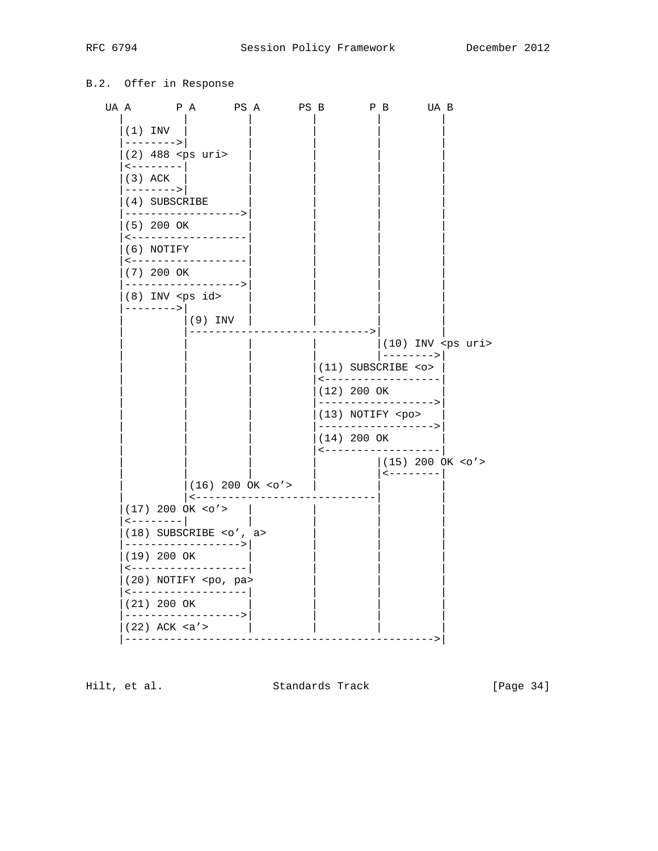## B.2. Offer in Response



Hilt, et al.

Standards Track

[Page 34]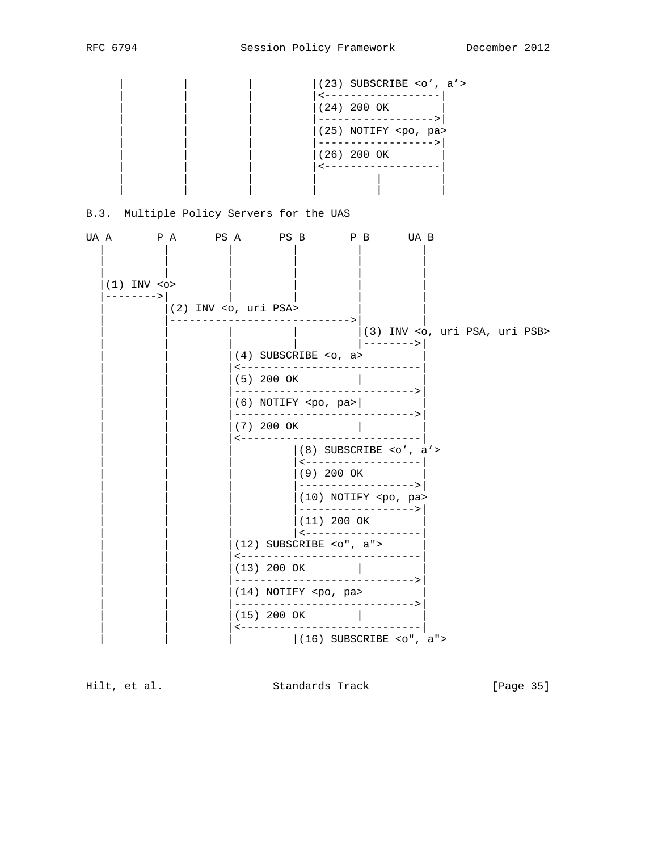|  |  | $(23)$ SUBSCRIBE <o', a'=""></o',> |  |
|--|--|------------------------------------|--|
|  |  |                                    |  |
|  |  | (24) 200 OK                        |  |
|  |  |                                    |  |
|  |  | (25) NOTIFY <po, pa=""></po,>      |  |
|  |  |                                    |  |
|  |  | (26) 200 OK                        |  |
|  |  |                                    |  |
|  |  |                                    |  |
|  |  |                                    |  |

# B.3. Multiple Policy Servers for the UAS

| UA A |                                  |  |            |                                   |  |               |  | PA PSA PSB PB UAB                                    |  |  |
|------|----------------------------------|--|------------|-----------------------------------|--|---------------|--|------------------------------------------------------|--|--|
|      | $(1)$ INV $\leq$ o><br>--------> |  |            | $(2)$ INV <o, psa="" uri=""></o,> |  |               |  |                                                      |  |  |
|      |                                  |  |            |                                   |  | -------->     |  | (3) INV <o, psa,="" psb="" uri=""></o,>              |  |  |
|      |                                  |  |            | $(4)$ SUBSCRIBE <0, a>            |  |               |  | $--------$                                           |  |  |
|      |                                  |  |            | ----------------<br>(5) 200 OK    |  |               |  |                                                      |  |  |
|      |                                  |  |            | $(6)$ NOTIFY <po, pa=""></po,>    |  |               |  |                                                      |  |  |
|      |                                  |  | (7) 200 OK |                                   |  |               |  |                                                      |  |  |
|      |                                  |  |            | $\leftarrow$ – – – – – –          |  | -----------   |  | $ (8)$ SUBSCRIBE <o', a'=""></o',>                   |  |  |
|      |                                  |  |            |                                   |  | (9) 200 OK    |  | <------------------                                  |  |  |
|      |                                  |  |            |                                   |  |               |  | ------------------><br>(10) NOTIFY <po, pa=""></po,> |  |  |
|      |                                  |  |            |                                   |  | $(11)$ 200 OK |  | ------------------>                                  |  |  |
|      |                                  |  |            | $(12)$ SUBSCRIBE < $0"$ , a">     |  |               |  | <------------------                                  |  |  |
|      |                                  |  |            | $(13)$ 200 OK $\qquad \qquad$     |  |               |  |                                                      |  |  |
|      |                                  |  |            | $(14)$ NOTIFY <po, pa=""></po,>   |  |               |  |                                                      |  |  |
|      |                                  |  |            | (15) 200 OK                       |  |               |  | --------->                                           |  |  |
|      |                                  |  |            |                                   |  |               |  | $ (16)$ SUBSCRIBE <o", a"=""></o",>                  |  |  |

Hilt, et al. Standards Track [Page 35]